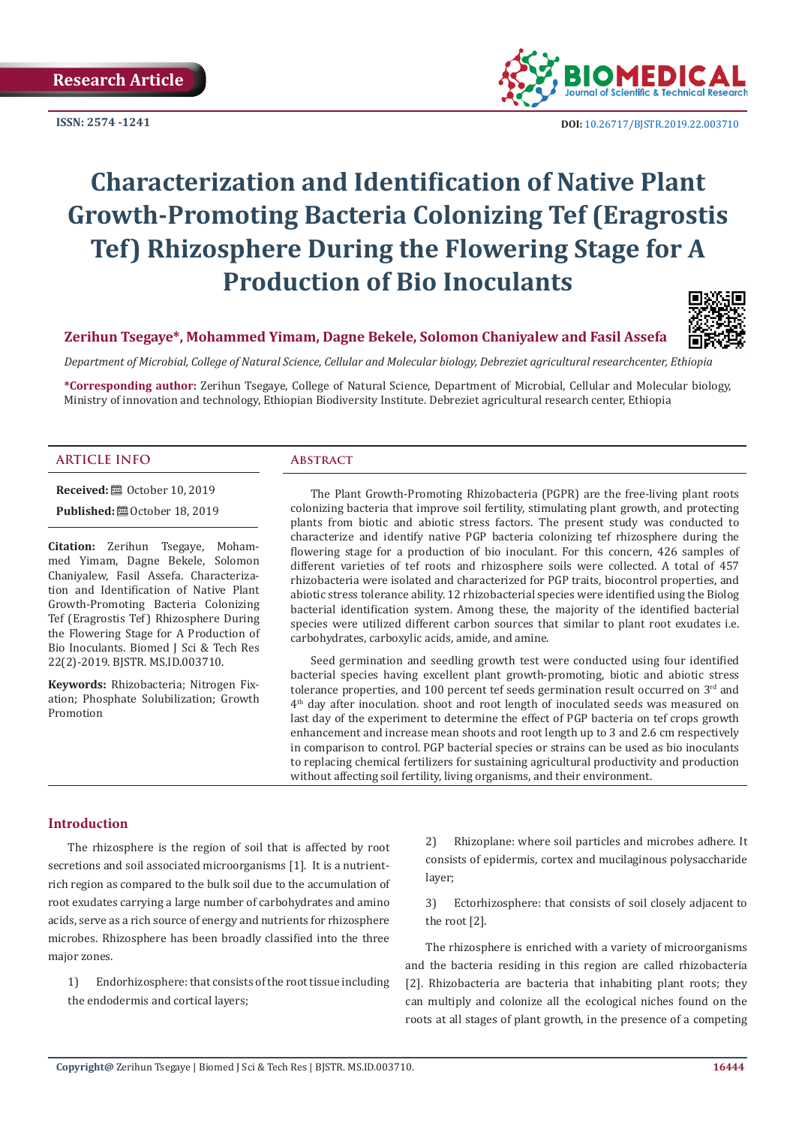**ISSN: 2574 -1241**



 **DOI:** [10.26717/BJSTR.2019.22.0037](http://dx.doi.org/10.26717/BJSTR.2019.22.003710)10

# **Characterization and Identification of Native Plant Growth-Promoting Bacteria Colonizing Tef (Eragrostis Tef) Rhizosphere During the Flowering Stage for A Production of Bio Inoculants**



# **Zerihun Tsegaye\*, Mohammed Yimam, Dagne Bekele, Solomon Chaniyalew and Fasil Assefa**

*Department of Microbial, College of Natural Science, Cellular and Molecular biology, Debreziet agricultural researchcenter, Ethiopia*

**\*Corresponding author:** Zerihun Tsegaye, College of Natural Science, Department of Microbial, Cellular and Molecular biology, Ministry of innovation and technology, Ethiopian Biodiversity Institute. Debreziet agricultural research center, Ethiopia

#### **ARTICLE INFO Abstract**

**Received:** ■ October 10, 2019 **Published:** ■ October 18, 2019

**Citation:** Zerihun Tsegaye, Mohammed Yimam, Dagne Bekele, Solomon Chaniyalew, Fasil Assefa. Characterization and Identification of Native Plant Growth-Promoting Bacteria Colonizing Tef (Eragrostis Tef) Rhizosphere During the Flowering Stage for A Production of Bio Inoculants. Biomed J Sci & Tech Res 22(2)-2019. BJSTR. MS.ID.003710.

**Keywords:** Rhizobacteria; Nitrogen Fixation; Phosphate Solubilization; Growth Promotion

The Plant Growth-Promoting Rhizobacteria (PGPR) are the free-living plant roots colonizing bacteria that improve soil fertility, stimulating plant growth, and protecting plants from biotic and abiotic stress factors. The present study was conducted to characterize and identify native PGP bacteria colonizing tef rhizosphere during the flowering stage for a production of bio inoculant. For this concern, 426 samples of different varieties of tef roots and rhizosphere soils were collected. A total of 457 rhizobacteria were isolated and characterized for PGP traits, biocontrol properties, and abiotic stress tolerance ability. 12 rhizobacterial species were identified using the Biolog bacterial identification system. Among these, the majority of the identified bacterial species were utilized different carbon sources that similar to plant root exudates i.e. carbohydrates, carboxylic acids, amide, and amine.

Seed germination and seedling growth test were conducted using four identified bacterial species having excellent plant growth-promoting, biotic and abiotic stress tolerance properties, and 100 percent tef seeds germination result occurred on  $3<sup>rd</sup>$  and  $4<sup>th</sup>$  day after inoculation. shoot and root length of inoculated seeds was measured on last day of the experiment to determine the effect of PGP bacteria on tef crops growth enhancement and increase mean shoots and root length up to 3 and 2.6 cm respectively in comparison to control. PGP bacterial species or strains can be used as bio inoculants to replacing chemical fertilizers for sustaining agricultural productivity and production without affecting soil fertility, living organisms, and their environment.

# **Introduction**

The rhizosphere is the region of soil that is affected by root secretions and soil associated microorganisms [1]. It is a nutrientrich region as compared to the bulk soil due to the accumulation of root exudates carrying a large number of carbohydrates and amino acids, serve as a rich source of energy and nutrients for rhizosphere microbes. Rhizosphere has been broadly classified into the three major zones.

1) Endorhizosphere: that consists of the root tissue including the endodermis and cortical layers;

2) Rhizoplane: where soil particles and microbes adhere. It consists of epidermis, cortex and mucilaginous polysaccharide layer;

3) Ectorhizosphere: that consists of soil closely adjacent to the root [2].

The rhizosphere is enriched with a variety of microorganisms and the bacteria residing in this region are called rhizobacteria [2]. Rhizobacteria are bacteria that inhabiting plant roots; they can multiply and colonize all the ecological niches found on the roots at all stages of plant growth, in the presence of a competing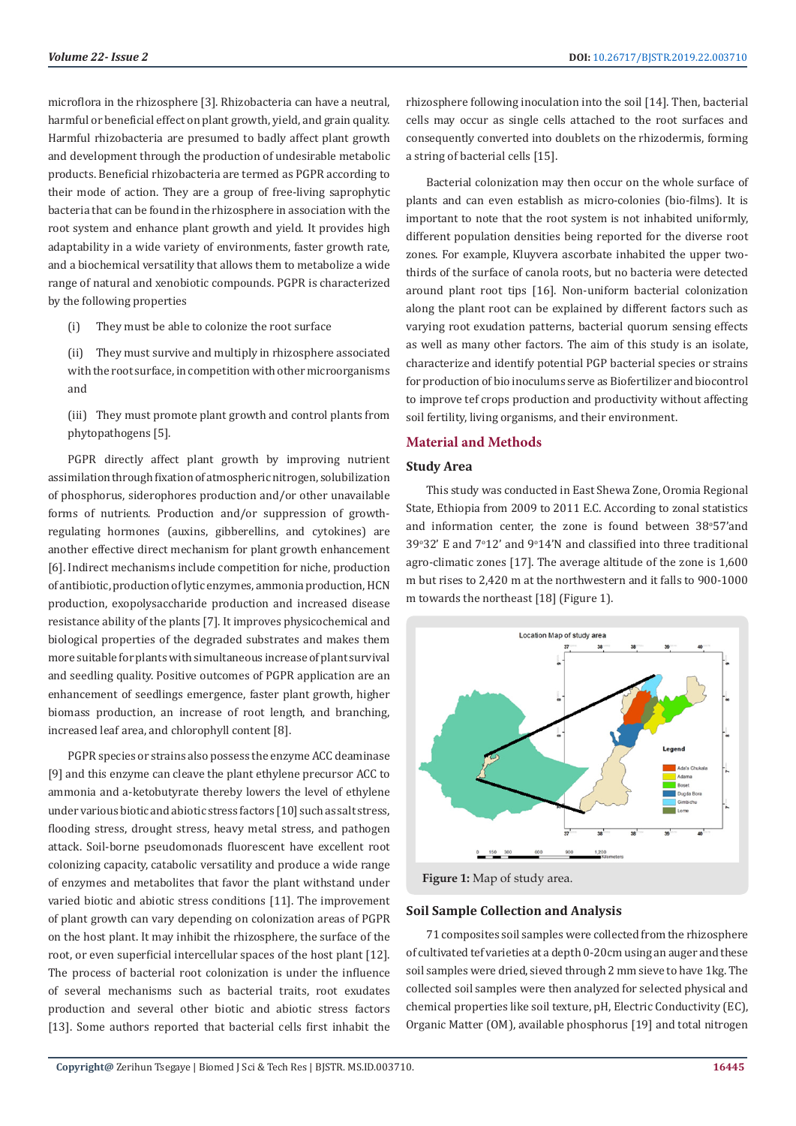microflora in the rhizosphere [3]. Rhizobacteria can have a neutral, harmful or beneficial effect on plant growth, yield, and grain quality. Harmful rhizobacteria are presumed to badly affect plant growth and development through the production of undesirable metabolic products. Beneficial rhizobacteria are termed as PGPR according to their mode of action. They are a group of free-living saprophytic bacteria that can be found in the rhizosphere in association with the root system and enhance plant growth and yield. It provides high adaptability in a wide variety of environments, faster growth rate, and a biochemical versatility that allows them to metabolize a wide range of natural and xenobiotic compounds. PGPR is characterized by the following properties

(i) They must be able to colonize the root surface

(ii) They must survive and multiply in rhizosphere associated with the root surface, in competition with other microorganisms and

(iii) They must promote plant growth and control plants from phytopathogens [5].

PGPR directly affect plant growth by improving nutrient assimilation through fixation of atmospheric nitrogen, solubilization of phosphorus, siderophores production and/or other unavailable forms of nutrients. Production and/or suppression of growthregulating hormones (auxins, gibberellins, and cytokines) are another effective direct mechanism for plant growth enhancement [6]. Indirect mechanisms include competition for niche, production of antibiotic, production of lytic enzymes, ammonia production, HCN production, exopolysaccharide production and increased disease resistance ability of the plants [7]. It improves physicochemical and biological properties of the degraded substrates and makes them more suitable for plants with simultaneous increase of plant survival and seedling quality. Positive outcomes of PGPR application are an enhancement of seedlings emergence, faster plant growth, higher biomass production, an increase of root length, and branching, increased leaf area, and chlorophyll content [8].

PGPR species or strains also possess the enzyme ACC deaminase [9] and this enzyme can cleave the plant ethylene precursor ACC to ammonia and a-ketobutyrate thereby lowers the level of ethylene under various biotic and abiotic stress factors [10] such as salt stress, flooding stress, drought stress, heavy metal stress, and pathogen attack. Soil-borne pseudomonads fluorescent have excellent root colonizing capacity, catabolic versatility and produce a wide range of enzymes and metabolites that favor the plant withstand under varied biotic and abiotic stress conditions [11]. The improvement of plant growth can vary depending on colonization areas of PGPR on the host plant. It may inhibit the rhizosphere, the surface of the root, or even superficial intercellular spaces of the host plant [12]. The process of bacterial root colonization is under the influence of several mechanisms such as bacterial traits, root exudates production and several other biotic and abiotic stress factors [13]. Some authors reported that bacterial cells first inhabit the rhizosphere following inoculation into the soil [14]. Then, bacterial cells may occur as single cells attached to the root surfaces and consequently converted into doublets on the rhizodermis, forming a string of bacterial cells [15].

Bacterial colonization may then occur on the whole surface of plants and can even establish as micro-colonies (bio-films). It is important to note that the root system is not inhabited uniformly, different population densities being reported for the diverse root zones. For example, Kluyvera ascorbate inhabited the upper twothirds of the surface of canola roots, but no bacteria were detected around plant root tips [16]. Non-uniform bacterial colonization along the plant root can be explained by different factors such as varying root exudation patterns, bacterial quorum sensing effects as well as many other factors. The aim of this study is an isolate, characterize and identify potential PGP bacterial species or strains for production of bio inoculums serve as Biofertilizer and biocontrol to improve tef crops production and productivity without affecting soil fertility, living organisms, and their environment.

### **Material and Methods**

# **Study Area**

This study was conducted in East Shewa Zone, Oromia Regional State, Ethiopia from 2009 to 2011 E.C. According to zonal statistics and information center, the zone is found between 38°57'and  $39°32'$  E and  $7°12'$  and  $9°14'$ N and classified into three traditional agro-climatic zones [17]. The average altitude of the zone is 1,600 m but rises to 2,420 m at the northwestern and it falls to 900-1000 m towards the northeast [18] (Figure 1).



**Figure 1:** Map of study area.

#### **Soil Sample Collection and Analysis**

71 composites soil samples were collected from the rhizosphere of cultivated tef varieties at a depth 0-20cm using an auger and these soil samples were dried, sieved through 2 mm sieve to have 1kg. The collected soil samples were then analyzed for selected physical and chemical properties like soil texture, pH, Electric Conductivity (EC), Organic Matter (OM), available phosphorus [19] and total nitrogen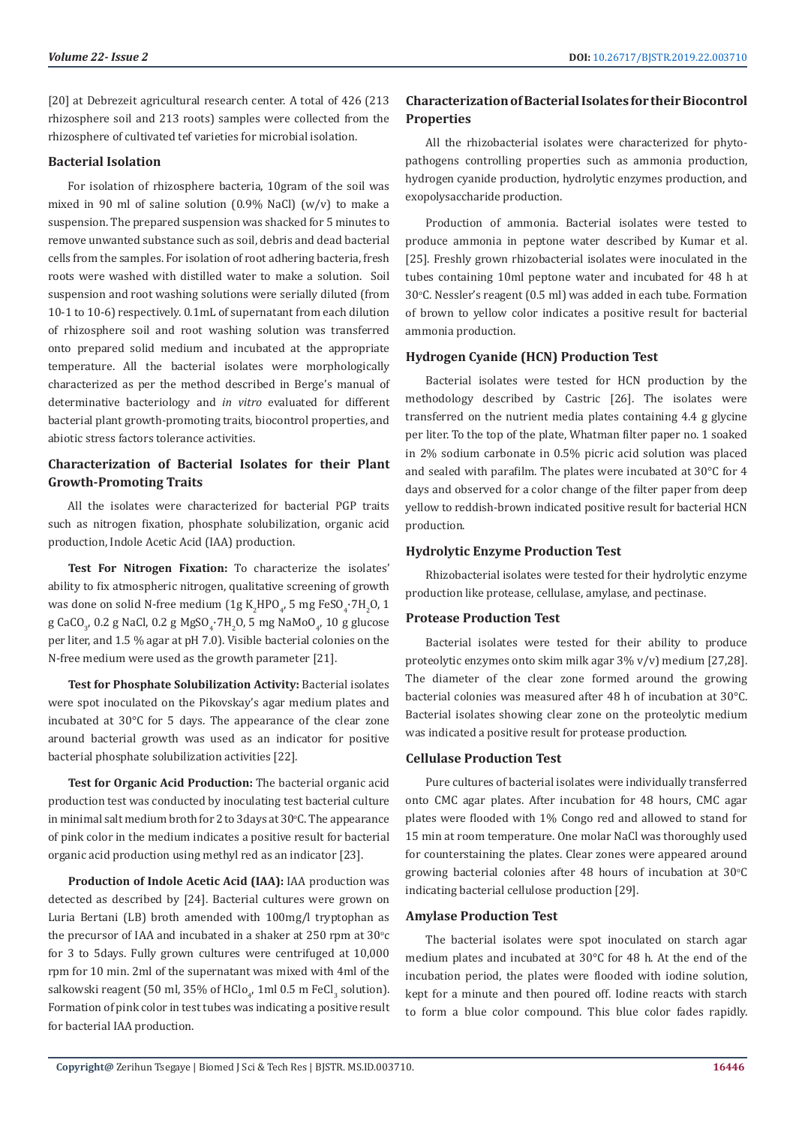[20] at Debrezeit agricultural research center. A total of 426 (213) rhizosphere soil and 213 roots) samples were collected from the rhizosphere of cultivated tef varieties for microbial isolation.

### **Bacterial Isolation**

For isolation of rhizosphere bacteria, 10gram of the soil was mixed in 90 ml of saline solution (0.9% NaCl) (w/v) to make a suspension. The prepared suspension was shacked for 5 minutes to remove unwanted substance such as soil, debris and dead bacterial cells from the samples. For isolation of root adhering bacteria, fresh roots were washed with distilled water to make a solution. Soil suspension and root washing solutions were serially diluted (from 10-1 to 10-6) respectively. 0.1mL of supernatant from each dilution of rhizosphere soil and root washing solution was transferred onto prepared solid medium and incubated at the appropriate temperature. All the bacterial isolates were morphologically characterized as per the method described in Berge's manual of determinative bacteriology and *in vitro* evaluated for different bacterial plant growth-promoting traits, biocontrol properties, and abiotic stress factors tolerance activities.

# **Characterization of Bacterial Isolates for their Plant Growth-Promoting Traits**

All the isolates were characterized for bacterial PGP traits such as nitrogen fixation, phosphate solubilization, organic acid production, Indole Acetic Acid (IAA) production.

**Test For Nitrogen Fixation:** To characterize the isolates' ability to fix atmospheric nitrogen, qualitative screening of growth was done on solid N-free medium (1g  $\text{K}_{2}$ HPO<sub>4</sub>, 5 mg FeSO<sub>4</sub> $\cdot$ 7H<sub>2</sub>O, 1 g CaCO<sub>3</sub>, 0.2 g NaCl, 0.2 g MgSO<sub>4</sub> $\cdot$ 7H<sub>2</sub>O, 5 mg NaMoO<sub>4</sub>, 10 g glucose per liter, and 1.5 % agar at pH 7.0). Visible bacterial colonies on the N-free medium were used as the growth parameter [21].

**Test for Phosphate Solubilization Activity:** Bacterial isolates were spot inoculated on the Pikovskay's agar medium plates and incubated at 30°C for 5 days. The appearance of the clear zone around bacterial growth was used as an indicator for positive bacterial phosphate solubilization activities [22].

**Test for Organic Acid Production:** The bacterial organic acid production test was conducted by inoculating test bacterial culture in minimal salt medium broth for  $2$  to  $3$ days at  $30^{\circ}$ C. The appearance of pink color in the medium indicates a positive result for bacterial organic acid production using methyl red as an indicator [23].

**Production of Indole Acetic Acid (IAA):** IAA production was detected as described by [24]. Bacterial cultures were grown on Luria Bertani (LB) broth amended with 100mg/l tryptophan as the precursor of IAA and incubated in a shaker at 250 rpm at  $30^{\circ}$ c for 3 to 5days. Fully grown cultures were centrifuged at 10,000 rpm for 10 min. 2ml of the supernatant was mixed with 4ml of the salkowski reagent (50 ml, 35% of HClo $_{4'}$  1ml 0.5 m FeCl $_3$  solution). Formation of pink color in test tubes was indicating a positive result for bacterial IAA production.

# **Characterization of Bacterial Isolates for their Biocontrol Properties**

All the rhizobacterial isolates were characterized for phytopathogens controlling properties such as ammonia production, hydrogen cyanide production, hydrolytic enzymes production, and exopolysaccharide production.

Production of ammonia. Bacterial isolates were tested to produce ammonia in peptone water described by Kumar et al. [25]. Freshly grown rhizobacterial isolates were inoculated in the tubes containing 10ml peptone water and incubated for 48 h at 30°C. Nessler's reagent (0.5 ml) was added in each tube. Formation of brown to yellow color indicates a positive result for bacterial ammonia production.

# **Hydrogen Cyanide (HCN) Production Test**

Bacterial isolates were tested for HCN production by the methodology described by Castric [26]. The isolates were transferred on the nutrient media plates containing 4.4 g glycine per liter. To the top of the plate, Whatman filter paper no. 1 soaked in 2% sodium carbonate in 0.5% picric acid solution was placed and sealed with parafilm. The plates were incubated at 30°C for 4 days and observed for a color change of the filter paper from deep yellow to reddish-brown indicated positive result for bacterial HCN production.

### **Hydrolytic Enzyme Production Test**

Rhizobacterial isolates were tested for their hydrolytic enzyme production like protease, cellulase, amylase, and pectinase.

# **Protease Production Test**

Bacterial isolates were tested for their ability to produce proteolytic enzymes onto skim milk agar 3% v/v) medium [27,28]. The diameter of the clear zone formed around the growing bacterial colonies was measured after 48 h of incubation at 30°C. Bacterial isolates showing clear zone on the proteolytic medium was indicated a positive result for protease production.

# **Cellulase Production Test**

Pure cultures of bacterial isolates were individually transferred onto CMC agar plates. After incubation for 48 hours, CMC agar plates were flooded with 1% Congo red and allowed to stand for 15 min at room temperature. One molar NaCl was thoroughly used for counterstaining the plates. Clear zones were appeared around growing bacterial colonies after  $48$  hours of incubation at  $30^{\circ}$ C indicating bacterial cellulose production [29].

# **Amylase Production Test**

The bacterial isolates were spot inoculated on starch agar medium plates and incubated at 30°C for 48 h. At the end of the incubation period, the plates were flooded with iodine solution, kept for a minute and then poured off. Iodine reacts with starch to form a blue color compound. This blue color fades rapidly.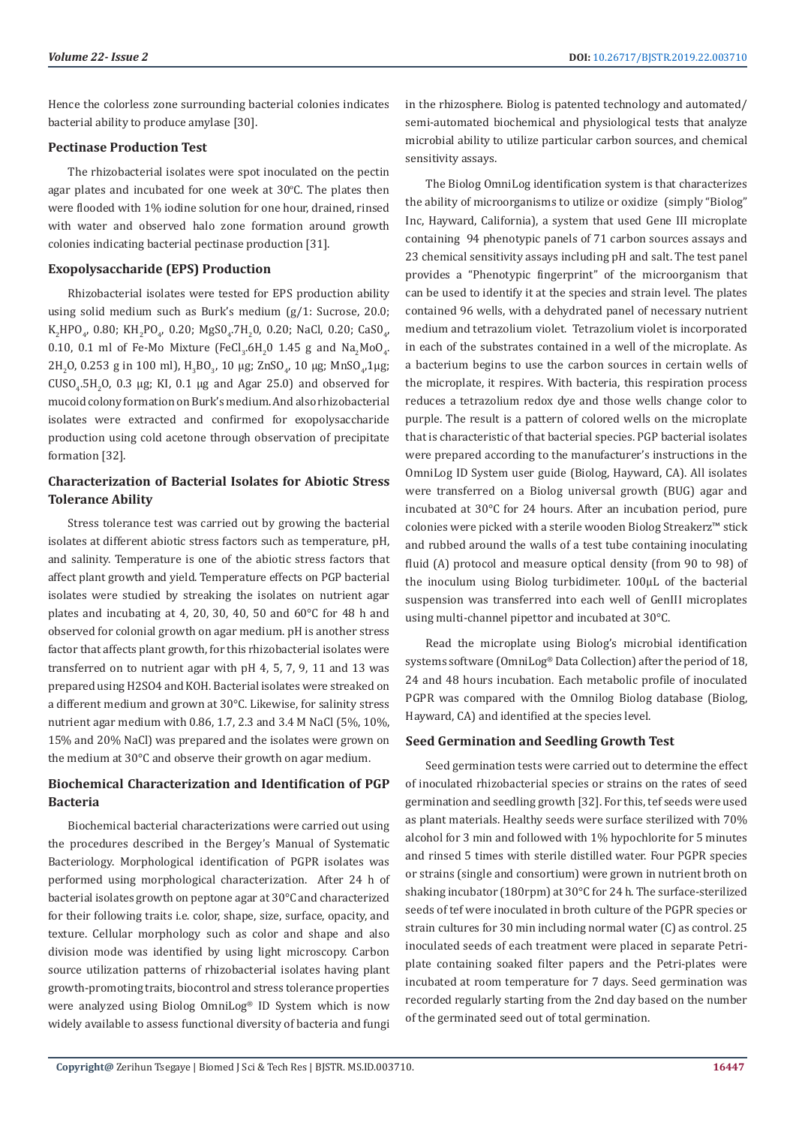Hence the colorless zone surrounding bacterial colonies indicates bacterial ability to produce amylase [30].

### **Pectinase Production Test**

The rhizobacterial isolates were spot inoculated on the pectin agar plates and incubated for one week at  $30^{\circ}$ C. The plates then were flooded with 1% iodine solution for one hour, drained, rinsed with water and observed halo zone formation around growth colonies indicating bacterial pectinase production [31].

# **Exopolysaccharide (EPS) Production**

Rhizobacterial isolates were tested for EPS production ability using solid medium such as Burk's medium (g/1: Sucrose, 20.0;  $K_2$ HPO<sub>4</sub>, 0.80; KH<sub>2</sub>PO<sub>4</sub>, 0.20; MgSO<sub>4</sub>.7H<sub>2</sub>O, 0.20; NaCl, 0.20; CaSO<sub>4</sub>,  $0.10$ ,  $0.1$  ml of Fe-Mo Mixture (FeCl<sub>3</sub>.6H<sub>2</sub>O 1.45 g and Na<sub>2</sub>MoO<sub>4</sub>.  $2H_2O$ , 0.253 g in 100 ml),  $H_3BO_3$ , 10 µg;  $2nSO_4$ , 10 µg; MnSO<sub>4</sub>, 1µg;  $CUSO<sub>4</sub>$ .5H<sub>2</sub>O, 0.3  $\mu$ g; KI, 0.1  $\mu$ g and Agar 25.0) and observed for mucoid colony formation on Burk's medium. And also rhizobacterial isolates were extracted and confirmed for exopolysaccharide production using cold acetone through observation of precipitate formation [32].

# **Characterization of Bacterial Isolates for Abiotic Stress Tolerance Ability**

Stress tolerance test was carried out by growing the bacterial isolates at different abiotic stress factors such as temperature, pH, and salinity. Temperature is one of the abiotic stress factors that affect plant growth and yield. Temperature effects on PGP bacterial isolates were studied by streaking the isolates on nutrient agar plates and incubating at 4, 20, 30, 40, 50 and 60°C for 48 h and observed for colonial growth on agar medium. pH is another stress factor that affects plant growth, for this rhizobacterial isolates were transferred on to nutrient agar with pH 4, 5, 7, 9, 11 and 13 was prepared using H2SO4 and KOH. Bacterial isolates were streaked on a different medium and grown at 30°C. Likewise, for salinity stress nutrient agar medium with 0.86, 1.7, 2.3 and 3.4 M NaCl (5%, 10%, 15% and 20% NaCl) was prepared and the isolates were grown on the medium at 30°C and observe their growth on agar medium.

# **Biochemical Characterization and Identification of PGP Bacteria**

Biochemical bacterial characterizations were carried out using the procedures described in the Bergey's Manual of Systematic Bacteriology. Morphological identification of PGPR isolates was performed using morphological characterization. After 24 h of bacterial isolates growth on peptone agar at 30°C and characterized for their following traits i.e. color, shape, size, surface, opacity, and texture. Cellular morphology such as color and shape and also division mode was identified by using light microscopy. Carbon source utilization patterns of rhizobacterial isolates having plant growth-promoting traits, biocontrol and stress tolerance properties were analyzed using Biolog OmniLog® ID System which is now widely available to assess functional diversity of bacteria and fungi

in the rhizosphere. Biolog is patented technology and automated/ semi-automated biochemical and physiological tests that analyze microbial ability to utilize particular carbon sources, and chemical sensitivity assays.

The Biolog OmniLog identification system is that characterizes the ability of microorganisms to utilize or oxidize (simply "Biolog" Inc, Hayward, California), a system that used Gene III microplate containing 94 phenotypic panels of 71 carbon sources assays and 23 chemical sensitivity assays including pH and salt. The test panel provides a "Phenotypic fingerprint" of the microorganism that can be used to identify it at the species and strain level. The plates contained 96 wells, with a dehydrated panel of necessary nutrient medium and tetrazolium violet. Tetrazolium violet is incorporated in each of the substrates contained in a well of the microplate. As a bacterium begins to use the carbon sources in certain wells of the microplate, it respires. With bacteria, this respiration process reduces a tetrazolium redox dye and those wells change color to purple. The result is a pattern of colored wells on the microplate that is characteristic of that bacterial species. PGP bacterial isolates were prepared according to the manufacturer's instructions in the OmniLog ID System user guide (Biolog, Hayward, CA). All isolates were transferred on a Biolog universal growth (BUG) agar and incubated at 30°C for 24 hours. After an incubation period, pure colonies were picked with a sterile wooden Biolog Streakerz™ stick and rubbed around the walls of a test tube containing inoculating fluid (A) protocol and measure optical density (from 90 to 98) of the inoculum using Biolog turbidimeter. 100μL of the bacterial suspension was transferred into each well of GenIII microplates using multi-channel pipettor and incubated at 30°C.

Read the microplate using Biolog's microbial identification systems software (OmniLog® Data Collection) after the period of 18, 24 and 48 hours incubation. Each metabolic profile of inoculated PGPR was compared with the Omnilog Biolog database (Biolog, Hayward, CA) and identified at the species level.

# **Seed Germination and Seedling Growth Test**

Seed germination tests were carried out to determine the effect of inoculated rhizobacterial species or strains on the rates of seed germination and seedling growth [32]. For this, tef seeds were used as plant materials. Healthy seeds were surface sterilized with 70% alcohol for 3 min and followed with 1% hypochlorite for 5 minutes and rinsed 5 times with sterile distilled water. Four PGPR species or strains (single and consortium) were grown in nutrient broth on shaking incubator (180rpm) at 30°C for 24 h. The surface-sterilized seeds of tef were inoculated in broth culture of the PGPR species or strain cultures for 30 min including normal water (C) as control. 25 inoculated seeds of each treatment were placed in separate Petriplate containing soaked filter papers and the Petri-plates were incubated at room temperature for 7 days. Seed germination was recorded regularly starting from the 2nd day based on the number of the germinated seed out of total germination.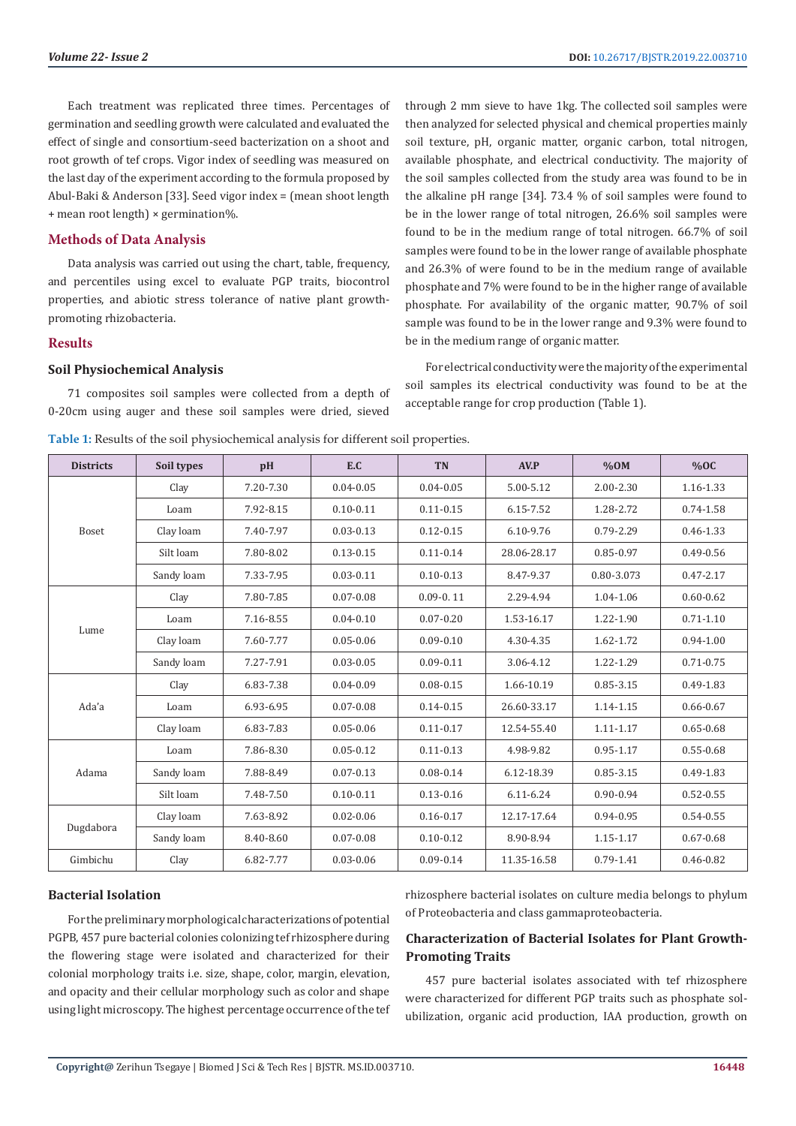Each treatment was replicated three times. Percentages of germination and seedling growth were calculated and evaluated the effect of single and consortium-seed bacterization on a shoot and root growth of tef crops. Vigor index of seedling was measured on the last day of the experiment according to the formula proposed by Abul-Baki & Anderson [33]. Seed vigor index = (mean shoot length + mean root length) × germination%.

# **Methods of Data Analysis**

Data analysis was carried out using the chart, table, frequency, and percentiles using excel to evaluate PGP traits, biocontrol properties, and abiotic stress tolerance of native plant growthpromoting rhizobacteria.

# **Results**

#### **Soil Physiochemical Analysis**

71 composites soil samples were collected from a depth of 0-20cm using auger and these soil samples were dried, sieved

through 2 mm sieve to have 1kg. The collected soil samples were then analyzed for selected physical and chemical properties mainly soil texture, pH, organic matter, organic carbon, total nitrogen, available phosphate, and electrical conductivity. The majority of the soil samples collected from the study area was found to be in the alkaline pH range [34]. 73.4 % of soil samples were found to be in the lower range of total nitrogen, 26.6% soil samples were found to be in the medium range of total nitrogen. 66.7% of soil samples were found to be in the lower range of available phosphate and 26.3% of were found to be in the medium range of available phosphate and 7% were found to be in the higher range of available phosphate. For availability of the organic matter, 90.7% of soil sample was found to be in the lower range and 9.3% were found to be in the medium range of organic matter.

For electrical conductivity were the majority of the experimental soil samples its electrical conductivity was found to be at the acceptable range for crop production (Table 1).

| Table 1: Results of the soil physiochemical analysis for different soil properties. |  |  |  |
|-------------------------------------------------------------------------------------|--|--|--|
|-------------------------------------------------------------------------------------|--|--|--|

| <b>Districts</b> | Soil types | pH        | E.C           | <b>TN</b>     | AV.P          | % <sub>OM</sub> | %OC           |
|------------------|------------|-----------|---------------|---------------|---------------|-----------------|---------------|
|                  | Clay       | 7.20-7.30 | $0.04 - 0.05$ | $0.04 - 0.05$ | 5.00-5.12     | 2.00-2.30       | 1.16-1.33     |
|                  | Loam       | 7.92-8.15 | $0.10 - 0.11$ | $0.11 - 0.15$ | 6.15-7.52     | 1.28-2.72       | 0.74-1.58     |
| Boset            | Clay loam  | 7.40-7.97 | $0.03 - 0.13$ | $0.12 - 0.15$ | 6.10-9.76     | 0.79-2.29       | $0.46 - 1.33$ |
|                  | Silt loam  | 7.80-8.02 | $0.13 - 0.15$ | $0.11 - 0.14$ | 28.06-28.17   | 0.85-0.97       | 0.49-0.56     |
|                  | Sandy loam | 7.33-7.95 | $0.03 - 0.11$ | $0.10 - 0.13$ | 8.47-9.37     | 0.80-3.073      | 0.47-2.17     |
|                  | Clay       | 7.80-7.85 | $0.07 - 0.08$ | $0.09 - 0.11$ | 2.29-4.94     | 1.04-1.06       | $0.60 - 0.62$ |
|                  | Loam       | 7.16-8.55 | $0.04 - 0.10$ | $0.07 - 0.20$ | 1.53-16.17    | 1.22-1.90       | $0.71 - 1.10$ |
| Lume             | Clay loam  | 7.60-7.77 | $0.05 - 0.06$ | $0.09 - 0.10$ | 4.30-4.35     | 1.62-1.72       | $0.94 - 1.00$ |
|                  | Sandy loam | 7.27-7.91 | $0.03 - 0.05$ | $0.09 - 0.11$ | 3.06-4.12     | 1.22-1.29       | $0.71 - 0.75$ |
|                  | Clay       | 6.83-7.38 | $0.04 - 0.09$ | $0.08 - 0.15$ | 1.66-10.19    | $0.85 - 3.15$   | 0.49-1.83     |
| Ada'a            | Loam       | 6.93-6.95 | $0.07 - 0.08$ | $0.14 - 0.15$ | 26.60-33.17   | $1.14 - 1.15$   | $0.66 - 0.67$ |
|                  | Clay loam  | 6.83-7.83 | $0.05 - 0.06$ | $0.11 - 0.17$ | 12.54-55.40   | 1.11-1.17       | $0.65 - 0.68$ |
|                  | Loam       | 7.86-8.30 | $0.05 - 0.12$ | $0.11 - 0.13$ | 4.98-9.82     | $0.95 - 1.17$   | $0.55 - 0.68$ |
| Adama            | Sandy loam | 7.88-8.49 | $0.07 - 0.13$ | $0.08 - 0.14$ | 6.12-18.39    | 0.85-3.15       | 0.49-1.83     |
|                  | Silt loam  | 7.48-7.50 | $0.10 - 0.11$ | $0.13 - 0.16$ | $6.11 - 6.24$ | 0.90-0.94       | $0.52 - 0.55$ |
|                  | Clay loam  | 7.63-8.92 | $0.02 - 0.06$ | $0.16 - 0.17$ | 12.17-17.64   | 0.94-0.95       | 0.54-0.55     |
| Dugdabora        | Sandy loam | 8.40-8.60 | $0.07 - 0.08$ | $0.10 - 0.12$ | 8.90-8.94     | 1.15-1.17       | $0.67 - 0.68$ |
| Gimbichu         | Clay       | 6.82-7.77 | $0.03 - 0.06$ | $0.09 - 0.14$ | 11.35-16.58   | 0.79-1.41       | 0.46-0.82     |

#### **Bacterial Isolation**

For the preliminary morphological characterizations of potential PGPB, 457 pure bacterial colonies colonizing tef rhizosphere during the flowering stage were isolated and characterized for their colonial morphology traits i.e. size, shape, color, margin, elevation, and opacity and their cellular morphology such as color and shape using light microscopy. The highest percentage occurrence of the tef rhizosphere bacterial isolates on culture media belongs to phylum of Proteobacteria and class gammaproteobacteria.

# **Characterization of Bacterial Isolates for Plant Growth-Promoting Traits**

457 pure bacterial isolates associated with tef rhizosphere were characterized for different PGP traits such as phosphate solubilization, organic acid production, IAA production, growth on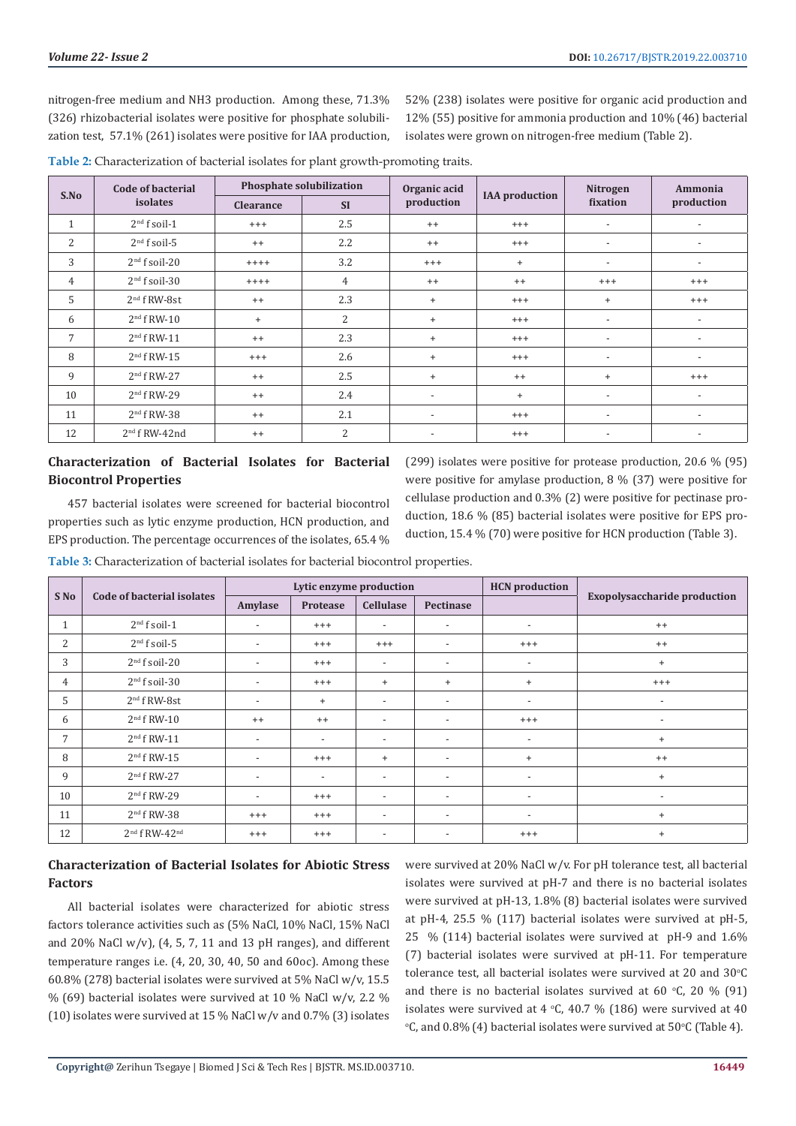nitrogen-free medium and NH3 production. Among these, 71.3% (326) rhizobacterial isolates were positive for phosphate solubilization test, 57.1% (261) isolates were positive for IAA production, 52% (238) isolates were positive for organic acid production and 12% (55) positive for ammonia production and 10% (46) bacterial isolates were grown on nitrogen-free medium (Table 2).

| S.No           | <b>Code of bacterial</b>                  |          | <b>Phosphate solubilization</b> | Organic acid             |           | Nitrogen                 | Ammonia                  |
|----------------|-------------------------------------------|----------|---------------------------------|--------------------------|-----------|--------------------------|--------------------------|
|                | isolates<br><b>SI</b><br><b>Clearance</b> |          | production                      | <b>IAA</b> production    | fixation  | production               |                          |
| $\mathbf{1}$   | $2nd$ f soil-1                            | $+++$    | 2.5                             | $++$                     | $^{+++}$  | $\overline{\phantom{0}}$ |                          |
| $\overline{2}$ | $2nd$ f soil-5                            | $++$     | 2.2                             | $++$                     | $^{+++}$  | $\overline{\phantom{a}}$ | $\overline{\phantom{a}}$ |
| 3              | $2nd$ f soil-20                           | $++++$   | 3.2                             | $+++$                    | $\ddot{}$ | $\overline{\phantom{0}}$ | $\overline{\phantom{a}}$ |
| $\overline{4}$ | $2nd$ f soil-30                           | $++++$   | $\overline{4}$                  | $^{++}$                  | $^{++}$   | $^{+++}$                 | $^{+++}$                 |
| 5              | $2nd$ f RW-8st                            | $++$     | 2.3                             | $+$                      | $^{+++}$  | $+$                      | $^{+++}$                 |
| 6              | $2nd$ f RW-10                             | $+$      | 2                               | $+$                      | $+++$     | $\overline{\phantom{0}}$ | $\overline{\phantom{a}}$ |
| 7              | $2nd$ f RW-11                             | $^{++}$  | 2.3                             | $+$                      | $^{+++}$  | $\overline{\phantom{a}}$ | $\overline{\phantom{a}}$ |
| 8              | $2nd$ f RW-15                             | $^{+++}$ | 2.6                             | $+$                      | $^{+++}$  |                          | $\overline{\phantom{a}}$ |
| 9              | $2nd$ f RW-27                             | $++$     | 2.5                             | $^{+}$                   | $^{++}$   | $+$                      | $^{+++}$                 |
| 10             | $2nd$ f RW-29                             | $^{++}$  | 2.4                             | $\overline{\phantom{a}}$ | $\ddot{}$ | $\overline{\phantom{a}}$ | $\overline{\phantom{a}}$ |
| 11             | $2nd$ f RW-38                             | $++$     | 2.1                             | $\overline{\phantom{a}}$ | $^{+++}$  | $\overline{\phantom{a}}$ | $\overline{\phantom{a}}$ |
| 12             | $2nd$ f RW-42nd                           | $++$     | 2                               | $\overline{\phantom{a}}$ | $+++$     | $\overline{\phantom{a}}$ |                          |

**Table 2:** Characterization of bacterial isolates for plant growth-promoting traits.

# **Characterization of Bacterial Isolates for Bacterial Biocontrol Properties**

457 bacterial isolates were screened for bacterial biocontrol properties such as lytic enzyme production, HCN production, and EPS production. The percentage occurrences of the isolates, 65.4 %

(299) isolates were positive for protease production, 20.6 % (95) were positive for amylase production, 8 % (37) were positive for cellulase production and 0.3% (2) were positive for pectinase production, 18.6 % (85) bacterial isolates were positive for EPS production, 15.4 % (70) were positive for HCN production (Table 3).

**Table 3:** Characterization of bacterial isolates for bacterial biocontrol properties.

|              |                                       |                                                      | Lytic enzyme production  |                          |                                     | <b>HCN</b> production    |                          |  |
|--------------|---------------------------------------|------------------------------------------------------|--------------------------|--------------------------|-------------------------------------|--------------------------|--------------------------|--|
| S No         | <b>Code of bacterial isolates</b>     | <b>Cellulase</b><br>Pectinase<br>Amylase<br>Protease |                          |                          | <b>Exopolysaccharide production</b> |                          |                          |  |
| $\mathbf{1}$ | $2nd$ f soil-1                        | $\overline{\phantom{a}}$                             | $^{+++}$                 | $\overline{\phantom{a}}$ | $\overline{\phantom{a}}$            | $\overline{\phantom{0}}$ | $^{++}$                  |  |
| 2            | $2nd$ f soil-5                        | $\overline{\phantom{a}}$                             | $^{+++}$                 | $^{+++}$                 | $\overline{\phantom{a}}$            | $^{+++}$                 | $^{++}$                  |  |
| 3            | $2nd$ f soil-20                       | $\overline{\phantom{a}}$                             | $^{+++}$                 | $\overline{\phantom{0}}$ | $\overline{\phantom{a}}$            | $\overline{\phantom{a}}$ | $^{+}$                   |  |
| 4            | $2nd$ f soil-30                       | $\overline{\phantom{a}}$                             | $^{+++}$                 | $+$                      | $+$                                 | $\ddot{}$                | $^{+++}$                 |  |
| 5            | $2nd$ f RW-8st                        | $\overline{\phantom{a}}$                             | $+$                      | $\overline{\phantom{0}}$ | $\overline{\phantom{a}}$            | $\overline{\phantom{0}}$ | $\overline{\phantom{a}}$ |  |
| 6            | $2nd$ f RW-10                         | $^{++}$                                              | $++$                     | $\overline{\phantom{a}}$ | $\overline{\phantom{a}}$            | $^{+++}$                 | $\overline{\phantom{a}}$ |  |
| 7            | $2nd$ f RW-11                         | $\overline{\phantom{a}}$                             | $\overline{\phantom{a}}$ | $\overline{\phantom{0}}$ | $\overline{\phantom{a}}$            | $\overline{\phantom{0}}$ | $^{+}$                   |  |
| 8            | $2nd$ f RW-15                         | $\overline{\phantom{a}}$                             | $+++$                    | $+$                      | $\overline{\phantom{a}}$            | $\ddot{}$                | $^{++}$                  |  |
| 9            | $2nd$ f RW-27                         | $\overline{\phantom{a}}$                             | $\overline{\phantom{a}}$ | $\overline{\phantom{0}}$ | $\overline{\phantom{a}}$            | $\overline{\phantom{a}}$ | $+$                      |  |
| 10           | $2nd$ f RW-29                         | $\overline{\phantom{a}}$                             | $^{+++}$                 | $\overline{\phantom{a}}$ | $\overline{\phantom{a}}$            | $\overline{\phantom{a}}$ | $\overline{\phantom{a}}$ |  |
| 11           | $2nd$ f RW-38                         | $^{+++}$                                             | $^{+++}$                 | $\overline{\phantom{0}}$ | $\overline{\phantom{a}}$            | $\overline{\phantom{0}}$ | $\ddot{}$                |  |
| 12           | 2 <sup>nd</sup> f RW-42 <sup>nd</sup> | $+++$                                                | $^{+++}$                 | $\overline{\phantom{a}}$ | $\overline{\phantom{a}}$            | $^{+++}$                 | $+$                      |  |

# **Characterization of Bacterial Isolates for Abiotic Stress Factors**

All bacterial isolates were characterized for abiotic stress factors tolerance activities such as (5% NaCl, 10% NaCl, 15% NaCl and 20% NaCl w/v),  $(4, 5, 7, 11$  and 13 pH ranges), and different temperature ranges i.e. (4, 20, 30, 40, 50 and 60oc). Among these 60.8% (278) bacterial isolates were survived at 5% NaCl w/v, 15.5 % (69) bacterial isolates were survived at 10 % NaCl w/v, 2.2 % (10) isolates were survived at 15 % NaCl w/v and 0.7% (3) isolates

were survived at 20% NaCl w/v. For pH tolerance test, all bacterial isolates were survived at pH-7 and there is no bacterial isolates were survived at pH-13, 1.8% (8) bacterial isolates were survived at pH-4, 25.5 % (117) bacterial isolates were survived at pH-5, 25 % (114) bacterial isolates were survived at pH-9 and 1.6% (7) bacterial isolates were survived at pH-11. For temperature tolerance test, all bacterial isolates were survived at  $20$  and  $30^{\circ}$ C and there is no bacterial isolates survived at 60 °C, 20  $\%$  (91) isolates were survived at 4  $\degree$ C, 40.7 % (186) were survived at 40  $\degree$ C, and 0.8% (4) bacterial isolates were survived at 50 $\degree$ C (Table 4).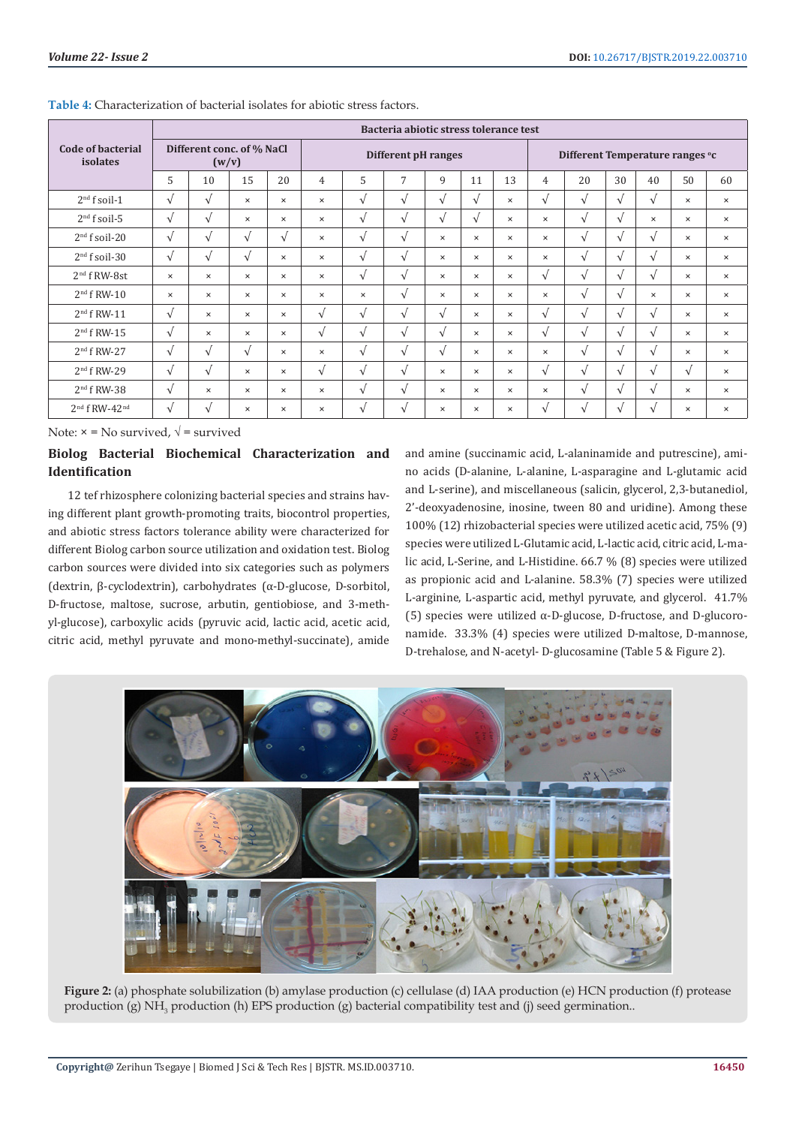|                                      | Bacteria abiotic stress tolerance test |            |            |                     |                |            |            |            |                       |                                 |            |            |            |            |            |          |
|--------------------------------------|----------------------------------------|------------|------------|---------------------|----------------|------------|------------|------------|-----------------------|---------------------------------|------------|------------|------------|------------|------------|----------|
| <b>Code of bacterial</b><br>isolates | Different conc. of % NaCl<br>(w/v)     |            |            | Different pH ranges |                |            |            |            |                       | Different Temperature ranges °c |            |            |            |            |            |          |
|                                      | 5                                      | 10         | 15         | 20                  | $\overline{4}$ | 5          | 7          | 9          | 11                    | 13                              | 4          | 20         | 30         | 40         | 50         | 60       |
| $2nd$ f soil-1                       | $\sqrt{ }$                             | $\sqrt{ }$ | $\times$   | $\times$            | $\times$       | $\sqrt{ }$ | $\sqrt{ }$ | $\sqrt{ }$ | $\sqrt{ }$            | $\times$                        | $\sqrt{ }$ | $\sqrt{ }$ | $\sqrt{ }$ | $\sqrt{ }$ | $\times$   | $\times$ |
| $2nd$ f soil-5                       | $\sqrt{ }$                             | $\sqrt{ }$ | $\times$   | $\times$            | $\times$       | $\sqrt{ }$ | $\sqrt{ }$ | $\sqrt{ }$ | $\sqrt{ }$            | $\times$                        | $\times$   | $\sqrt{ }$ | $\sqrt{ }$ | $\times$   | $\times$   | $\times$ |
| $2nd$ f soil-20                      | $\sqrt{ }$                             | $\sqrt{ }$ | $\sqrt{ }$ | $\sqrt{ }$          | $\times$       | $\sqrt{ }$ | $\sqrt{ }$ | $\times$   | $\times$              | $\times$                        | $\times$   | $\sqrt{ }$ | $\sqrt{ }$ | $\sqrt{ }$ | $\times$   | $\times$ |
| $2nd$ f soil-30                      | $\sqrt{ }$                             | $\sqrt{ }$ | $\sqrt{ }$ | $\times$            | $\times$       | $\sqrt{ }$ | $\sqrt{ }$ | $\times$   | $\boldsymbol{\times}$ | $\times$                        | $\times$   | $\sqrt{ }$ | $\sqrt{ }$ | $\sqrt{ }$ | $\times$   | $\times$ |
| $2nd$ f RW-8st                       | $\times$                               | $\times$   | $\times$   | $\times$            | $\times$       | $\sqrt{ }$ | $\sqrt{ }$ | $\times$   | $\boldsymbol{\times}$ | $\times$                        | $\sqrt{ }$ | $\sqrt{ }$ | $\sqrt{ }$ | $\sqrt{ }$ | $\times$   | $\times$ |
| $2nd$ f RW-10                        | $\times$                               | $\times$   | $\times$   | $\times$            | $\times$       | $\times$   | $\sqrt{ }$ | $\times$   | $\boldsymbol{\times}$ | $\times$                        | $\times$   | $\sqrt{ }$ | $\sqrt{ }$ | $\times$   | $\times$   | $\times$ |
| $2nd$ f RW-11                        | $\sqrt{ }$                             | $\times$   | $\times$   | $\times$            | $\sqrt{ }$     | $\sqrt{ }$ | $\sqrt{ }$ | $\sqrt{ }$ | $\times$              | $\times$                        | $\sqrt{ }$ | $\sqrt{ }$ | $\sqrt{ }$ | $\sqrt{ }$ | $\times$   | $\times$ |
| $2nd$ f RW-15                        | $\sqrt{ }$                             | $\times$   | $\times$   | $\times$            | $\sqrt{ }$     | $\sqrt{ }$ | $\sqrt{ }$ | $\sqrt{ }$ | $\times$              | $\times$                        | $\sqrt{ }$ | $\sqrt{ }$ | $\sqrt{ }$ | $\sqrt{ }$ | $\times$   | $\times$ |
| $2nd$ f RW-27                        | $\sqrt{ }$                             | $\sqrt{ }$ | $\sqrt{ }$ | $\times$            | $\times$       | $\sqrt{ }$ | $\sqrt{ }$ | $\sqrt{ }$ | $\pmb{\times}$        | $\times$                        | $\times$   | $\sqrt{ }$ | $\sqrt{ }$ | $\sqrt{ }$ | $\times$   | $\times$ |
| $2nd$ f RW-29                        | $\sqrt{ }$                             | $\sqrt{ }$ | $\times$   | $\times$            | $\sqrt{ }$     | $\sqrt{ }$ | $\sqrt{ }$ | $\times$   | $\pmb{\times}$        | $\times$                        | $\sqrt{ }$ | $\sqrt{ }$ | $\sqrt{ }$ | $\sqrt{ }$ | $\sqrt{ }$ | $\times$ |
| $2nd$ f RW-38                        | $\sqrt{ }$                             | $\times$   | $\times$   | $\times$            | $\times$       | $\sqrt{ }$ | $\sqrt{ }$ | $\times$   | $\pmb{\times}$        | $\times$                        | $\times$   | $\sqrt{ }$ | $\sqrt{ }$ | $\sqrt{ }$ | $\times$   | $\times$ |
| $2nd$ f RW-42 <sup>nd</sup>          | $\sqrt{ }$                             | $\sqrt{ }$ | $\times$   | $\times$            | $\times$       | $\sqrt{ }$ | $\sqrt{ }$ | $\times$   | $\times$              | $\times$                        | $\sqrt{ }$ | $\sqrt{ }$ | $\sqrt{ }$ | $\sqrt{ }$ | $\times$   | $\times$ |

**Table 4:** Characterization of bacterial isolates for abiotic stress factors.

Note:  $\times$  = No survived,  $\sqrt{}$  = survived

**Biolog Bacterial Biochemical Characterization and Identification**

12 tef rhizosphere colonizing bacterial species and strains having different plant growth-promoting traits, biocontrol properties, and abiotic stress factors tolerance ability were characterized for different Biolog carbon source utilization and oxidation test. Biolog carbon sources were divided into six categories such as polymers (dextrin, β-cyclodextrin), carbohydrates (α-D-glucose, D-sorbitol, D-fructose, maltose, sucrose, arbutin, gentiobiose, and 3-methyl-glucose), carboxylic acids (pyruvic acid, lactic acid, acetic acid, citric acid, methyl pyruvate and mono-methyl-succinate), amide

and amine (succinamic acid, L-alaninamide and putrescine), amino acids (D-alanine, L-alanine, L-asparagine and L-glutamic acid and L-serine), and miscellaneous (salicin, glycerol, 2,3-butanediol, 2'-deoxyadenosine, inosine, tween 80 and uridine). Among these 100% (12) rhizobacterial species were utilized acetic acid, 75% (9) species were utilized L-Glutamic acid, L-lactic acid, citric acid, L-malic acid, L-Serine, and L-Histidine. 66.7 % (8) species were utilized as propionic acid and L-alanine. 58.3% (7) species were utilized L-arginine, L-aspartic acid, methyl pyruvate, and glycerol. 41.7% (5) species were utilized α-D-glucose, D-fructose, and D-glucoronamide. 33.3% (4) species were utilized D-maltose, D-mannose, D-trehalose, and N-acetyl- D-glucosamine (Table 5 & Figure 2).



**Figure 2:** (a) phosphate solubilization (b) amylase production (c) cellulase (d) IAA production (e) HCN production (f) protease production (g) NH<sub>3</sub> production (h) EPS production (g) bacterial compatibility test and (j) seed germination..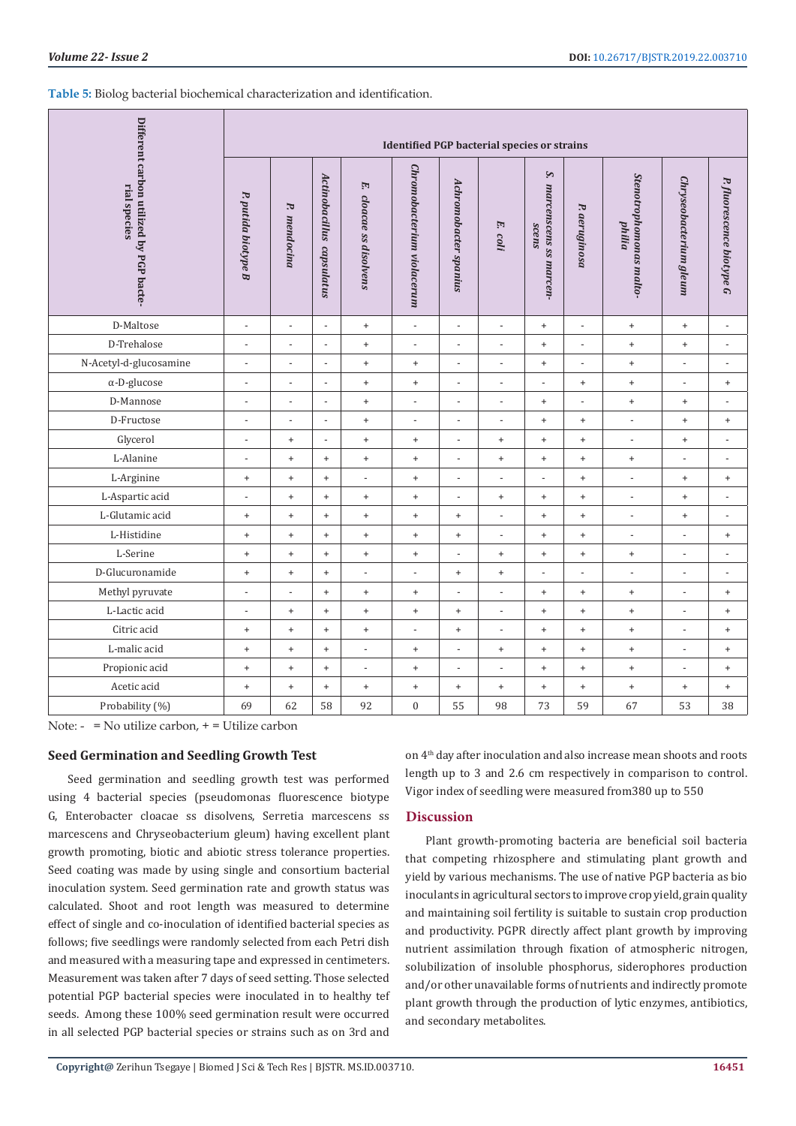**Table 5:** Biolog bacterial biochemical characterization and identification.

|                                                         | <b>Identified PGP bacterial species or strains</b> |                                  |                           |                            |                                  |                                  |                                  |                                                   |                                  |                                   |                          |                                  |
|---------------------------------------------------------|----------------------------------------------------|----------------------------------|---------------------------|----------------------------|----------------------------------|----------------------------------|----------------------------------|---------------------------------------------------|----------------------------------|-----------------------------------|--------------------------|----------------------------------|
| Different carbon utilized by PGP bacte-<br>rial species | P. putida biotype B                                | P.<br>mendocina                  | Actinobacillus capsulatus | E.<br>cloacae ss disolvens | Chromobacterium violacerum       | Achromobacter spanius            | E.<br>coli                       | $\mathcal{S}.$<br>marcenscens ss marcen-<br>scens | P. aeruginosa                    | Stenotrophomonas malto-<br>philia | Chryseobacterium gleum   | P. fluorescence biotype G        |
| D-Maltose                                               | $\blacksquare$                                     | $\overline{\phantom{a}}$         | $\overline{\phantom{a}}$  | $\qquad \qquad +$          | $\overline{\phantom{a}}$         | $\blacksquare$                   | $\overline{\phantom{0}}$         | $\begin{array}{c} + \end{array}$                  | $\overline{\phantom{a}}$         | $\ddot{}$                         | $^+$                     | $\overline{\phantom{a}}$         |
| D-Trehalose                                             | $\overline{a}$                                     | $\frac{1}{2}$                    | $\overline{\phantom{a}}$  | $\ddot{}$                  | $\blacksquare$                   | $\overline{\phantom{a}}$         | $\overline{\phantom{0}}$         | $^{+}$                                            | $\overline{\phantom{a}}$         | $\ddot{}$                         | $^{+}$                   | $\overline{\phantom{a}}$         |
| N-Acetyl-d-glucosamine                                  | $\overline{a}$                                     | $\overline{a}$                   | $\overline{\phantom{a}}$  | $\qquad \qquad +$          | $+$                              | $\overline{\phantom{0}}$         | $\overline{a}$                   | $\begin{array}{c} + \end{array}$                  | $\overline{\phantom{a}}$         | $\ddot{}$                         | $\centerdot$             |                                  |
| $\alpha$ -D-glucose                                     | $\overline{\phantom{a}}$                           | $\overline{a}$                   | $\overline{\phantom{a}}$  | $\qquad \qquad +$          | $\qquad \qquad +$                | $\overline{a}$                   | $\overline{\phantom{a}}$         | $\overline{\phantom{a}}$                          | $+$                              | $\ddot{}$                         | $\overline{\phantom{a}}$ | $\ddot{}$                        |
| D-Mannose                                               | $\blacksquare$                                     | $\overline{\phantom{a}}$         | $\overline{\phantom{a}}$  | $\qquad \qquad +$          | $\overline{\phantom{a}}$         | $\overline{\phantom{a}}$         | $\overline{\phantom{0}}$         | $\ddot{}$                                         | $\overline{\phantom{a}}$         | $\ddot{}$                         | $+$                      | $\overline{\phantom{a}}$         |
| D-Fructose                                              | $\overline{a}$                                     | $\frac{1}{2}$                    | $\overline{\phantom{a}}$  | $\qquad \qquad +$          | $\overline{\phantom{a}}$         | $\overline{\phantom{m}}$         | $\overline{\phantom{0}}$         | $\begin{array}{c} + \end{array}$                  | $+$                              | $\overline{\phantom{a}}$          | $^{+}$                   | $\qquad \qquad +$                |
| Glycerol                                                | $\overline{\phantom{a}}$                           | $\qquad \qquad +$                | ÷,                        | $+$                        | $^{+}$                           | $\overline{\phantom{a}}$         | $\begin{array}{c} + \end{array}$ | $\begin{array}{c} + \end{array}$                  | $^{+}$                           | $\overline{\phantom{a}}$          | $^{+}$                   |                                  |
| L-Alanine                                               | $\overline{a}$                                     | $\qquad \qquad +$                | $\qquad \qquad +$         | $^{+}$                     | $\ddot{}$                        | $\overline{a}$                   | $\ddot{}$                        | $\ddot{}$                                         | $+$                              | $\ddot{}$                         | $\overline{\phantom{a}}$ | $\overline{a}$                   |
| L-Arginine                                              | $^{\mathrm{+}}$                                    | $\qquad \qquad +$                | $\qquad \qquad +$         | $\overline{\phantom{a}}$   | $^{+}$                           | $\overline{\phantom{a}}$         | $\overline{\phantom{a}}$         | $\overline{\phantom{a}}$                          | $^{+}$                           | $\overline{\phantom{a}}$          | $\qquad \qquad +$        | $\begin{array}{c} + \end{array}$ |
| L-Aspartic acid                                         | $\overline{\phantom{a}}$                           | $\qquad \qquad +$                | $\qquad \qquad +$         | $\qquad \qquad +$          | $\qquad \qquad +$                | $\overline{\phantom{a}}$         | $^{\mathrm{+}}$                  | $\ddot{}$                                         | $+$                              | $\overline{\phantom{a}}$          | $^{+}$                   | $\overline{\phantom{a}}$         |
| L-Glutamic acid                                         | $\ddot{}$                                          | $\ddot{}$                        | $\qquad \qquad +$         | $\qquad \qquad +$          | $\ddot{}$                        | $\begin{array}{c} + \end{array}$ | $\overline{\phantom{0}}$         | $+$                                               | $^{+}$                           | ÷,                                | $^{+}$                   |                                  |
| L-Histidine                                             | $^{\mathrm{+}}$                                    | $\qquad \qquad +$                | $\qquad \qquad +$         | $+$                        | $\qquad \qquad +$                | $^{\mathrm{+}}$                  | $\overline{\phantom{a}}$         | $\begin{array}{c} + \end{array}$                  | $+$                              | $\overline{\phantom{a}}$          | $\overline{\phantom{a}}$ | $\ddot{}$                        |
| L-Serine                                                | $\ddot{}$                                          | $\qquad \qquad +$                | $^+$                      | $\qquad \qquad +$          | $+$                              | $\overline{\phantom{a}}$         | $\begin{array}{c} + \end{array}$ | $+$                                               | $^{+}$                           | $\begin{array}{c} + \end{array}$  | $\overline{\phantom{a}}$ | $\overline{\phantom{a}}$         |
| D-Glucuronamide                                         | $^{\mathrm{+}}$                                    | $\qquad \qquad +$                | $\qquad \qquad +$         | $\overline{\phantom{a}}$   | $\overline{\phantom{a}}$         | $^{\mathrm{+}}$                  | $\ddot{}$                        | $\overline{\phantom{a}}$                          | $\overline{\phantom{a}}$         | $\overline{\phantom{a}}$          | $\overline{\phantom{a}}$ | $\overline{\phantom{a}}$         |
| Methyl pyruvate                                         | $\overline{\phantom{a}}$                           | $\overline{\phantom{a}}$         | $\qquad \qquad +$         | $\ddot{}$                  | $^{+}$                           | $\overline{\phantom{a}}$         | $\overline{\phantom{a}}$         | $+$                                               | $^{+}$                           | $\begin{array}{c} + \end{array}$  | $\overline{\phantom{a}}$ | $\ddot{}$                        |
| L-Lactic acid                                           | $\overline{\phantom{0}}$                           | $\begin{array}{c} + \end{array}$ | $\qquad \qquad +$         | $\ddot{}$                  | $\begin{array}{c} + \end{array}$ | $\begin{array}{c} + \end{array}$ | $\overline{\phantom{a}}$         | $\begin{array}{c} + \end{array}$                  | $^{+}$                           | $\ddot{}$                         | $\overline{\phantom{a}}$ | $\begin{array}{c} + \end{array}$ |
| Citric acid                                             | $\begin{array}{c} + \end{array}$                   | $\qquad \qquad +$                | $\qquad \qquad +$         | $\ddot{}$                  | $\overline{\phantom{a}}$         | $^{\mathrm{+}}$                  | $\overline{\phantom{a}}$         | $\begin{array}{c} + \end{array}$                  | $^{+}$                           | $\ddot{}$                         | $\overline{\phantom{a}}$ | $\begin{array}{c} + \end{array}$ |
| L-malic acid                                            | $\begin{array}{c} + \end{array}$                   | $\begin{array}{c} + \end{array}$ | $^+$                      | $\frac{1}{2}$              | $\begin{array}{c} + \end{array}$ | $\overline{\phantom{0}}$         | $\begin{array}{c} + \end{array}$ | $\begin{array}{c} + \end{array}$                  | $^{+}$                           | $\ddot{}$                         | $\centerdot$             | $\begin{array}{c} + \end{array}$ |
| Propionic acid                                          | $\begin{array}{c} + \end{array}$                   | $\ddot{}$                        | $\qquad \qquad +$         | $\overline{\phantom{a}}$   | $\begin{array}{c} + \end{array}$ | $\overline{a}$                   | $\overline{a}$                   | $^{+}$                                            | $^{+}$                           | $\begin{array}{c} + \end{array}$  | $\overline{\phantom{m}}$ | $^{+}$                           |
| Acetic acid                                             | $\begin{array}{c} + \end{array}$                   | $\begin{array}{c} + \end{array}$ | $^+$                      | $^{\mathrm{+}}$            | $\begin{array}{c} + \end{array}$ | $^{\mathrm{+}}$                  | $^{\mathrm{+}}$                  | $\begin{array}{c} + \end{array}$                  | $\begin{array}{c} + \end{array}$ | $\ddot{}$                         | $^+$                     | $\begin{array}{c} + \end{array}$ |
| Probability (%)                                         | 69                                                 | 62                               | 58                        | 92                         | $\boldsymbol{0}$                 | 55                               | 98                               | 73                                                | 59                               | 67                                | 53                       | 38                               |

Note:  $-$  = No utilize carbon,  $+$  = Utilize carbon

# **Seed Germination and Seedling Growth Test**

Seed germination and seedling growth test was performed using 4 bacterial species (pseudomonas fluorescence biotype G, Enterobacter cloacae ss disolvens, Serretia marcescens ss marcescens and Chryseobacterium gleum) having excellent plant growth promoting, biotic and abiotic stress tolerance properties. Seed coating was made by using single and consortium bacterial inoculation system. Seed germination rate and growth status was calculated. Shoot and root length was measured to determine effect of single and co-inoculation of identified bacterial species as follows; five seedlings were randomly selected from each Petri dish and measured with a measuring tape and expressed in centimeters. Measurement was taken after 7 days of seed setting. Those selected potential PGP bacterial species were inoculated in to healthy tef seeds. Among these 100% seed germination result were occurred in all selected PGP bacterial species or strains such as on 3rd and

on 4th day after inoculation and also increase mean shoots and roots length up to 3 and 2.6 cm respectively in comparison to control. Vigor index of seedling were measured from380 up to 550

# **Discussion**

Plant growth-promoting bacteria are beneficial soil bacteria that competing rhizosphere and stimulating plant growth and yield by various mechanisms. The use of native PGP bacteria as bio inoculants in agricultural sectors to improve crop yield, grain quality and maintaining soil fertility is suitable to sustain crop production and productivity. PGPR directly affect plant growth by improving nutrient assimilation through fixation of atmospheric nitrogen, solubilization of insoluble phosphorus, siderophores production and/or other unavailable forms of nutrients and indirectly promote plant growth through the production of lytic enzymes, antibiotics, and secondary metabolites.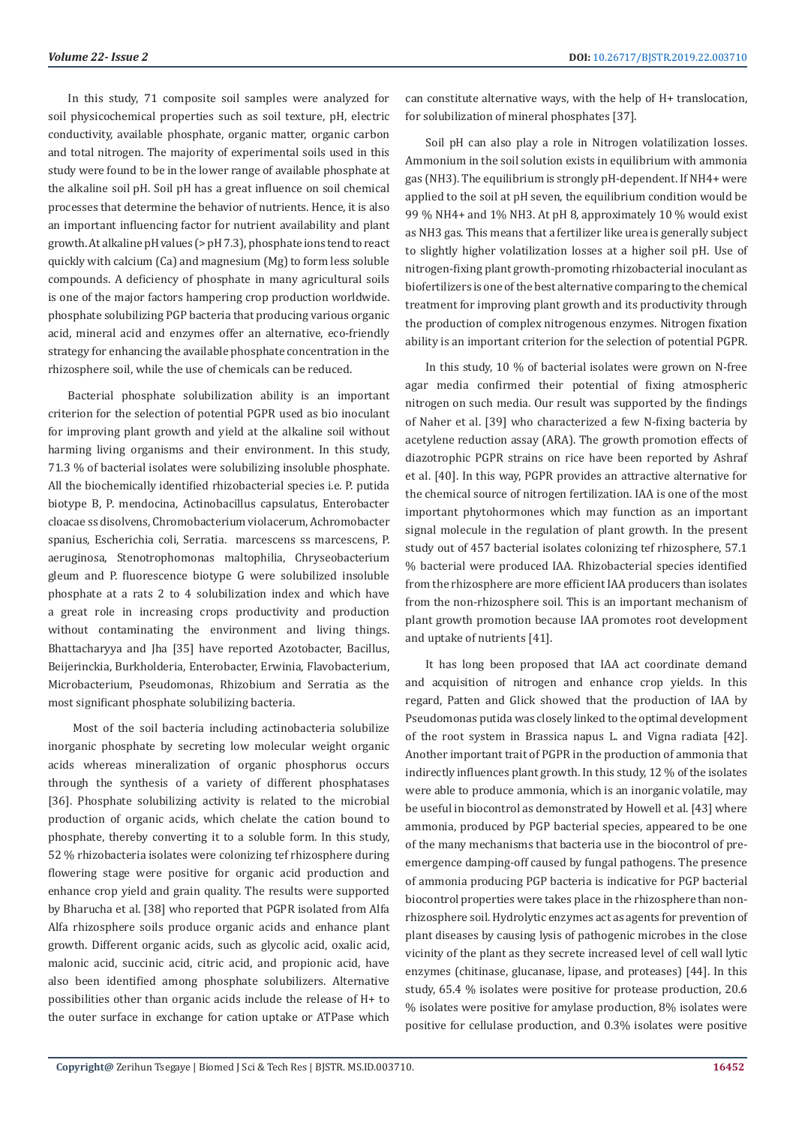In this study, 71 composite soil samples were analyzed for soil physicochemical properties such as soil texture, pH, electric conductivity, available phosphate, organic matter, organic carbon and total nitrogen. The majority of experimental soils used in this study were found to be in the lower range of available phosphate at the alkaline soil pH. Soil pH has a great influence on soil chemical processes that determine the behavior of nutrients. Hence, it is also an important influencing factor for nutrient availability and plant growth. At alkaline pH values (> pH 7.3), phosphate ions tend to react quickly with calcium (Ca) and magnesium (Mg) to form less soluble compounds. A deficiency of phosphate in many agricultural soils is one of the major factors hampering crop production worldwide. phosphate solubilizing PGP bacteria that producing various organic acid, mineral acid and enzymes offer an alternative, eco-friendly strategy for enhancing the available phosphate concentration in the rhizosphere soil, while the use of chemicals can be reduced.

Bacterial phosphate solubilization ability is an important criterion for the selection of potential PGPR used as bio inoculant for improving plant growth and yield at the alkaline soil without harming living organisms and their environment. In this study, 71.3 % of bacterial isolates were solubilizing insoluble phosphate. All the biochemically identified rhizobacterial species i.e. P. putida biotype B, P. mendocina, Actinobacillus capsulatus, Enterobacter cloacae ss disolvens, Chromobacterium violacerum, Achromobacter spanius, Escherichia coli, Serratia. marcescens ss marcescens, P. aeruginosa, Stenotrophomonas maltophilia, Chryseobacterium gleum and P. fluorescence biotype G were solubilized insoluble phosphate at a rats 2 to 4 solubilization index and which have a great role in increasing crops productivity and production without contaminating the environment and living things. Bhattacharyya and Jha [35] have reported Azotobacter, Bacillus, Beijerinckia, Burkholderia, Enterobacter, Erwinia, Flavobacterium, Microbacterium, Pseudomonas, Rhizobium and Serratia as the most significant phosphate solubilizing bacteria.

 Most of the soil bacteria including actinobacteria solubilize inorganic phosphate by secreting low molecular weight organic acids whereas mineralization of organic phosphorus occurs through the synthesis of a variety of different phosphatases [36]. Phosphate solubilizing activity is related to the microbial production of organic acids, which chelate the cation bound to phosphate, thereby converting it to a soluble form. In this study, 52 % rhizobacteria isolates were colonizing tef rhizosphere during flowering stage were positive for organic acid production and enhance crop yield and grain quality. The results were supported by Bharucha et al. [38] who reported that PGPR isolated from Alfa Alfa rhizosphere soils produce organic acids and enhance plant growth. Different organic acids, such as glycolic acid, oxalic acid, malonic acid, succinic acid, citric acid, and propionic acid, have also been identified among phosphate solubilizers. Alternative possibilities other than organic acids include the release of H+ to the outer surface in exchange for cation uptake or ATPase which

can constitute alternative ways, with the help of H+ translocation, for solubilization of mineral phosphates [37].

Soil pH can also play a role in Nitrogen volatilization losses. Ammonium in the soil solution exists in equilibrium with ammonia gas (NH3). The equilibrium is strongly pH-dependent. If NH4+ were applied to the soil at pH seven, the equilibrium condition would be 99 % NH4+ and 1% NH3. At pH 8, approximately 10 % would exist as NH3 gas. This means that a fertilizer like urea is generally subject to slightly higher volatilization losses at a higher soil pH. Use of nitrogen-fixing plant growth-promoting rhizobacterial inoculant as biofertilizers is one of the best alternative comparing to the chemical treatment for improving plant growth and its productivity through the production of complex nitrogenous enzymes. Nitrogen fixation ability is an important criterion for the selection of potential PGPR.

In this study, 10 % of bacterial isolates were grown on N-free agar media confirmed their potential of fixing atmospheric nitrogen on such media. Our result was supported by the findings of Naher et al. [39] who characterized a few N-fixing bacteria by acetylene reduction assay (ARA). The growth promotion effects of diazotrophic PGPR strains on rice have been reported by Ashraf et al. [40]. In this way, PGPR provides an attractive alternative for the chemical source of nitrogen fertilization. IAA is one of the most important phytohormones which may function as an important signal molecule in the regulation of plant growth. In the present study out of 457 bacterial isolates colonizing tef rhizosphere, 57.1 % bacterial were produced IAA. Rhizobacterial species identified from the rhizosphere are more efficient IAA producers than isolates from the non-rhizosphere soil. This is an important mechanism of plant growth promotion because IAA promotes root development and uptake of nutrients [41].

It has long been proposed that IAA act coordinate demand and acquisition of nitrogen and enhance crop yields. In this regard, Patten and Glick showed that the production of IAA by Pseudomonas putida was closely linked to the optimal development of the root system in Brassica napus L. and Vigna radiata [42]. Another important trait of PGPR in the production of ammonia that indirectly influences plant growth. In this study, 12 % of the isolates were able to produce ammonia, which is an inorganic volatile, may be useful in biocontrol as demonstrated by Howell et al. [43] where ammonia, produced by PGP bacterial species, appeared to be one of the many mechanisms that bacteria use in the biocontrol of preemergence damping-off caused by fungal pathogens. The presence of ammonia producing PGP bacteria is indicative for PGP bacterial biocontrol properties were takes place in the rhizosphere than nonrhizosphere soil. Hydrolytic enzymes act as agents for prevention of plant diseases by causing lysis of pathogenic microbes in the close vicinity of the plant as they secrete increased level of cell wall lytic enzymes (chitinase, glucanase, lipase, and proteases) [44]. In this study, 65.4 % isolates were positive for protease production, 20.6 % isolates were positive for amylase production, 8% isolates were positive for cellulase production, and 0.3% isolates were positive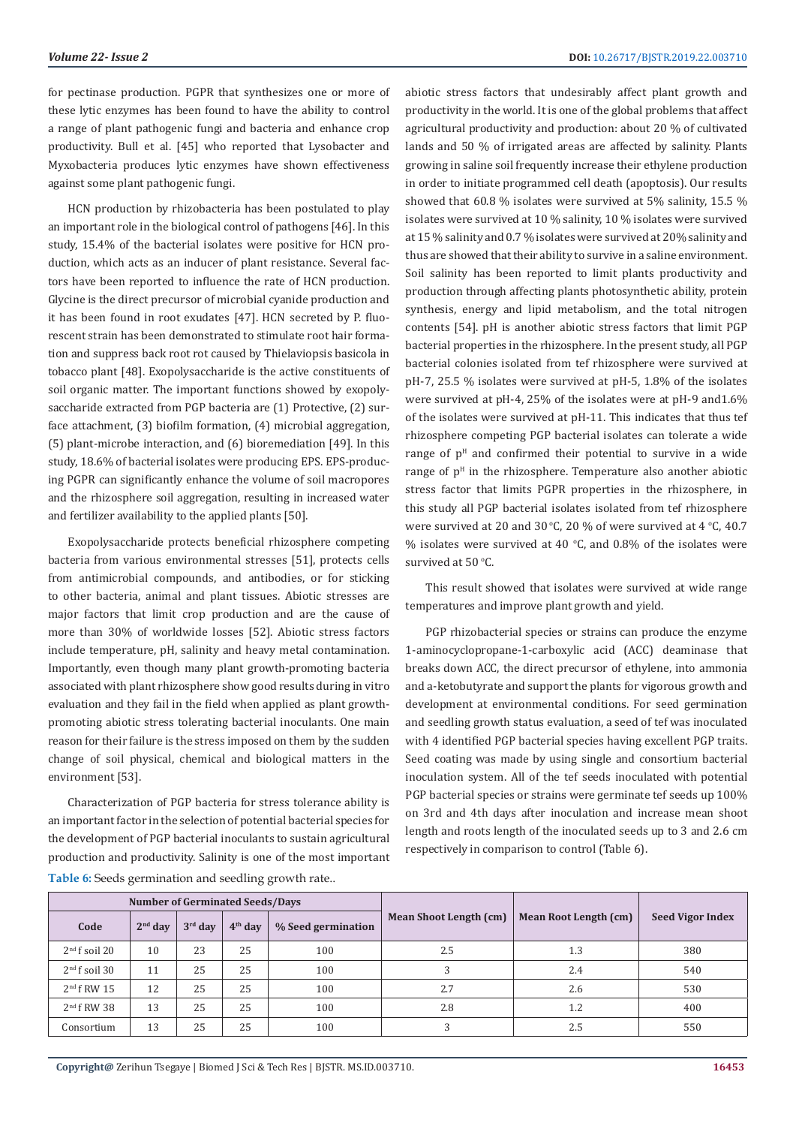for pectinase production. PGPR that synthesizes one or more of these lytic enzymes has been found to have the ability to control a range of plant pathogenic fungi and bacteria and enhance crop productivity. Bull et al. [45] who reported that Lysobacter and Myxobacteria produces lytic enzymes have shown effectiveness against some plant pathogenic fungi.

HCN production by rhizobacteria has been postulated to play an important role in the biological control of pathogens [46]. In this study, 15.4% of the bacterial isolates were positive for HCN production, which acts as an inducer of plant resistance. Several factors have been reported to influence the rate of HCN production. Glycine is the direct precursor of microbial cyanide production and it has been found in root exudates [47]. HCN secreted by P. fluorescent strain has been demonstrated to stimulate root hair formation and suppress back root rot caused by Thielaviopsis basicola in tobacco plant [48]. Exopolysaccharide is the active constituents of soil organic matter. The important functions showed by exopolysaccharide extracted from PGP bacteria are (1) Protective, (2) surface attachment, (3) biofilm formation, (4) microbial aggregation, (5) plant-microbe interaction, and (6) bioremediation [49]. In this study, 18.6% of bacterial isolates were producing EPS. EPS-producing PGPR can significantly enhance the volume of soil macropores and the rhizosphere soil aggregation, resulting in increased water and fertilizer availability to the applied plants [50].

Exopolysaccharide protects beneficial rhizosphere competing bacteria from various environmental stresses [51], protects cells from antimicrobial compounds, and antibodies, or for sticking to other bacteria, animal and plant tissues. Abiotic stresses are major factors that limit crop production and are the cause of more than 30% of worldwide losses [52]. Abiotic stress factors include temperature, pH, salinity and heavy metal contamination. Importantly, even though many plant growth-promoting bacteria associated with plant rhizosphere show good results during in vitro evaluation and they fail in the field when applied as plant growthpromoting abiotic stress tolerating bacterial inoculants. One main reason for their failure is the stress imposed on them by the sudden change of soil physical, chemical and biological matters in the environment [53].

Characterization of PGP bacteria for stress tolerance ability is an important factor in the selection of potential bacterial species for the development of PGP bacterial inoculants to sustain agricultural production and productivity. Salinity is one of the most important **Table 6:** Seeds germination and seedling growth rate..

abiotic stress factors that undesirably affect plant growth and productivity in the world. It is one of the global problems that affect agricultural productivity and production: about 20 % of cultivated lands and 50 % of irrigated areas are affected by salinity. Plants growing in saline soil frequently increase their ethylene production in order to initiate programmed cell death (apoptosis). Our results showed that 60.8 % isolates were survived at 5% salinity, 15.5 % isolates were survived at 10 % salinity, 10 % isolates were survived at 15 % salinity and 0.7 % isolates were survived at 20% salinity and thus are showed that their ability to survive in a saline environment. Soil salinity has been reported to limit plants productivity and production through affecting plants photosynthetic ability, protein synthesis, energy and lipid metabolism, and the total nitrogen contents [54]. pH is another abiotic stress factors that limit PGP bacterial properties in the rhizosphere. In the present study, all PGP bacterial colonies isolated from tef rhizosphere were survived at pH-7, 25.5 % isolates were survived at pH-5, 1.8% of the isolates were survived at pH-4, 25% of the isolates were at pH-9 and1.6% of the isolates were survived at pH-11. This indicates that thus tef rhizosphere competing PGP bacterial isolates can tolerate a wide range of  $p<sup>H</sup>$  and confirmed their potential to survive in a wide range of  $p<sup>H</sup>$  in the rhizosphere. Temperature also another abiotic stress factor that limits PGPR properties in the rhizosphere, in this study all PGP bacterial isolates isolated from tef rhizosphere were survived at 20 and 30 °C, 20  $\%$  of were survived at 4 °C, 40.7 % isolates were survived at 40  $\degree$ C, and 0.8% of the isolates were survived at  $50^{\circ}$ C.

This result showed that isolates were survived at wide range temperatures and improve plant growth and yield.

PGP rhizobacterial species or strains can produce the enzyme 1-aminocyclopropane-1-carboxylic acid (ACC) deaminase that breaks down ACC, the direct precursor of ethylene, into ammonia and a-ketobutyrate and support the plants for vigorous growth and development at environmental conditions. For seed germination and seedling growth status evaluation, a seed of tef was inoculated with 4 identified PGP bacterial species having excellent PGP traits. Seed coating was made by using single and consortium bacterial inoculation system. All of the tef seeds inoculated with potential PGP bacterial species or strains were germinate tef seeds up 100% on 3rd and 4th days after inoculation and increase mean shoot length and roots length of the inoculated seeds up to 3 and 2.6 cm respectively in comparison to control (Table 6).

| <b>Number of Germinated Seeds/Days</b> |           |           |           |                    |                        |                       |                         |  |
|----------------------------------------|-----------|-----------|-----------|--------------------|------------------------|-----------------------|-------------------------|--|
| Code                                   | $2nd$ day | $3rd$ day | $4th$ day | % Seed germination | Mean Shoot Length (cm) | Mean Root Length (cm) | <b>Seed Vigor Index</b> |  |
| $2nd$ f soil 20                        | 10        | 23        | 25        | 100                | 2.5                    | 1.3                   | 380                     |  |
| $2nd$ f soil 30                        | 11        | 25        | 25        | 100                | 3                      | 2.4                   | 540                     |  |
| $2nd$ f RW 15                          | 12        | 25        | 25        | 100                | 2.7                    | 2.6                   | 530                     |  |
| $2nd$ f RW 38                          | 13        | 25        | 25        | 100                | 2.8                    | 1.2                   | 400                     |  |
| Consortium                             | 13        | 25        | 25        | 100                | 3                      | 2.5                   | 550                     |  |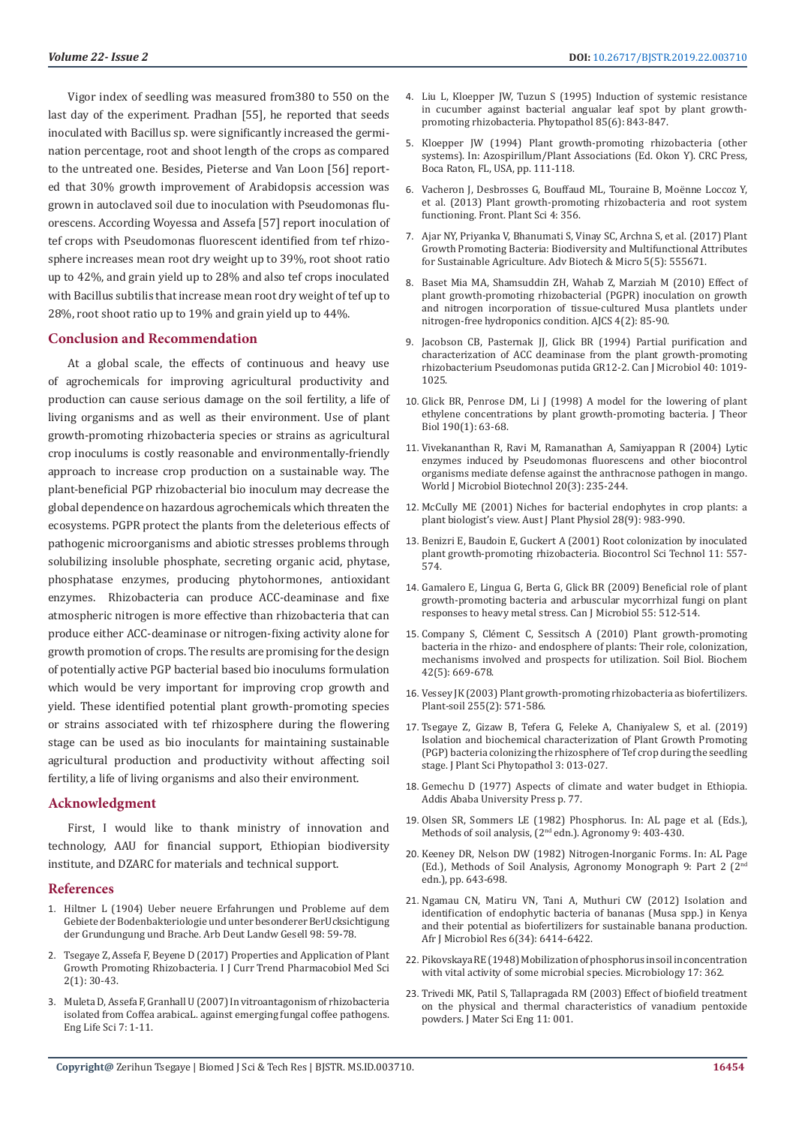Vigor index of seedling was measured from380 to 550 on the last day of the experiment. Pradhan [55], he reported that seeds inoculated with Bacillus sp. were significantly increased the germination percentage, root and shoot length of the crops as compared to the untreated one. Besides, Pieterse and Van Loon [56] reported that 30% growth improvement of Arabidopsis accession was grown in autoclaved soil due to inoculation with Pseudomonas fluorescens. According Woyessa and Assefa [57] report inoculation of tef crops with Pseudomonas fluorescent identified from tef rhizosphere increases mean root dry weight up to 39%, root shoot ratio up to 42%, and grain yield up to 28% and also tef crops inoculated with Bacillus subtilis that increase mean root dry weight of tef up to 28%, root shoot ratio up to 19% and grain yield up to 44%.

#### **Conclusion and Recommendation**

At a global scale, the effects of continuous and heavy use of agrochemicals for improving agricultural productivity and production can cause serious damage on the soil fertility, a life of living organisms and as well as their environment. Use of plant growth-promoting rhizobacteria species or strains as agricultural crop inoculums is costly reasonable and environmentally-friendly approach to increase crop production on a sustainable way. The plant-beneficial PGP rhizobacterial bio inoculum may decrease the global dependence on hazardous agrochemicals which threaten the ecosystems. PGPR protect the plants from the deleterious effects of pathogenic microorganisms and abiotic stresses problems through solubilizing insoluble phosphate, secreting organic acid, phytase, phosphatase enzymes, producing phytohormones, antioxidant enzymes. Rhizobacteria can produce ACC-deaminase and fixe atmospheric nitrogen is more effective than rhizobacteria that can produce either ACC-deaminase or nitrogen-fixing activity alone for growth promotion of crops. The results are promising for the design of potentially active PGP bacterial based bio inoculums formulation which would be very important for improving crop growth and yield. These identified potential plant growth-promoting species or strains associated with tef rhizosphere during the flowering stage can be used as bio inoculants for maintaining sustainable agricultural production and productivity without affecting soil fertility, a life of living organisms and also their environment.

#### **Acknowledgment**

First, I would like to thank ministry of innovation and technology, AAU for financial support, Ethiopian biodiversity institute, and DZARC for materials and technical support.

#### **References**

- 1. [Hiltner L \(1904\) Ueber neuere Erfahrungen und Probleme auf dem](http://www.sciepub.com/reference/22893)  [Gebiete der Bodenbakteriologie und unter besonderer BerUcksichtigung](http://www.sciepub.com/reference/22893)  [der Grundungung und Brache. Arb Deut Landw Gesell 98: 59-78.](http://www.sciepub.com/reference/22893)
- 2. [Tsegaye Z, Assefa F, Beyene D \(2017\) Properties and Application of Plant](https://www.researchgate.net/publication/317414831_Properties_and_Application_of_Plant_Growth_Promoting_Rhizobacteria)  [Growth Promoting Rhizobacteria. I J Curr Trend Pharmacobiol Med Sci](https://www.researchgate.net/publication/317414831_Properties_and_Application_of_Plant_Growth_Promoting_Rhizobacteria)  [2\(1\): 30-43.](https://www.researchgate.net/publication/317414831_Properties_and_Application_of_Plant_Growth_Promoting_Rhizobacteria)
- 3. [Muleta D, Assefa F, Granhall U \(2007\) In vitroantagonism of rhizobacteria](https://onlinelibrary.wiley.com/doi/abs/10.1002/elsc.200700004)  [isolated from Coffea arabicaL. against emerging fungal coffee pathogens.](https://onlinelibrary.wiley.com/doi/abs/10.1002/elsc.200700004)  [Eng Life Sci 7: 1-11.](https://onlinelibrary.wiley.com/doi/abs/10.1002/elsc.200700004)
- 4. [Liu L, Kloepper JW, Tuzun S \(1995\) Induction of systemic resistance](https://www.apsnet.org/publications/phytopathology/backissues/Documents/1995Articles/Phyto85n06_695.pdf) [in cucumber against bacterial angualar leaf spot by plant growth](https://www.apsnet.org/publications/phytopathology/backissues/Documents/1995Articles/Phyto85n06_695.pdf)[promoting rhizobacteria. Phytopathol 85\(6\): 843-847.](https://www.apsnet.org/publications/phytopathology/backissues/Documents/1995Articles/Phyto85n06_695.pdf)
- 5. Kloepper JW (1994) Plant growth-promoting rhizobacteria (other systems). In: Azospirillum/Plant Associations (Ed. Okon Y). CRC Press, Boca Raton, FL, USA, pp. 111-118.
- 6. [Vacheron J, Desbrosses G, Bouffaud ML, Touraine B, Moënne Loccoz Y,](https://www.ncbi.nlm.nih.gov/pubmed/24062756) [et al. \(2013\) Plant growth-promoting rhizobacteria and root system](https://www.ncbi.nlm.nih.gov/pubmed/24062756) [functioning. Front. Plant Sci 4: 356.](https://www.ncbi.nlm.nih.gov/pubmed/24062756)
- 7. [Ajar NY, Priyanka V, Bhanumati S, Vinay SC, Archna S, et al. \(2017\) Plant](https://www.researchgate.net/publication/319331085_Plant_Growth_Promoting_Bacteria_Biodiversity_and_Multifunctional_Attributes_for_Sustainable_Agriculture) [Growth Promoting Bacteria: Biodiversity and Multifunctional Attributes](https://www.researchgate.net/publication/319331085_Plant_Growth_Promoting_Bacteria_Biodiversity_and_Multifunctional_Attributes_for_Sustainable_Agriculture) [for Sustainable Agriculture. Adv Biotech & Micro 5\(5\): 555671.](https://www.researchgate.net/publication/319331085_Plant_Growth_Promoting_Bacteria_Biodiversity_and_Multifunctional_Attributes_for_Sustainable_Agriculture)
- 8. [Baset Mia MA, Shamsuddin ZH, Wahab Z, Marziah M \(2010\) Effect of](https://www.researchgate.net/publication/267703688_Effect_of_plant_growth_promoting_rhizobacterial_PGPR_inoculation_on_growth_and_nitrogen_incorporation_of_tissue-culture_Musa_plantlets_under_nitrogen_free_hydroponics_condition) [plant growth-promoting rhizobacterial \(PGPR\) inoculation on growth](https://www.researchgate.net/publication/267703688_Effect_of_plant_growth_promoting_rhizobacterial_PGPR_inoculation_on_growth_and_nitrogen_incorporation_of_tissue-culture_Musa_plantlets_under_nitrogen_free_hydroponics_condition) [and nitrogen incorporation of tissue-cultured Musa plantlets under](https://www.researchgate.net/publication/267703688_Effect_of_plant_growth_promoting_rhizobacterial_PGPR_inoculation_on_growth_and_nitrogen_incorporation_of_tissue-culture_Musa_plantlets_under_nitrogen_free_hydroponics_condition) [nitrogen-free hydroponics condition. AJCS 4\(2\): 85-90.](https://www.researchgate.net/publication/267703688_Effect_of_plant_growth_promoting_rhizobacterial_PGPR_inoculation_on_growth_and_nitrogen_incorporation_of_tissue-culture_Musa_plantlets_under_nitrogen_free_hydroponics_condition)
- 9. [Jacobson CB, Pasternak JJ, Glick BR \(1994\) Partial purification and](https://www.researchgate.net/publication/237194132_Partial_purification_and_characterization_of_1-aminocyclopropane-1-carboxylate_deaminase_from_the_plant_growth_promoting_rhizobacterium_Pseudomonas_putida_GR12-2) [characterization of ACC deaminase from the plant growth-promoting](https://www.researchgate.net/publication/237194132_Partial_purification_and_characterization_of_1-aminocyclopropane-1-carboxylate_deaminase_from_the_plant_growth_promoting_rhizobacterium_Pseudomonas_putida_GR12-2) [rhizobacterium Pseudomonas putida GR12-2. Can J Microbiol 40: 1019-](https://www.researchgate.net/publication/237194132_Partial_purification_and_characterization_of_1-aminocyclopropane-1-carboxylate_deaminase_from_the_plant_growth_promoting_rhizobacterium_Pseudomonas_putida_GR12-2) [1025.](https://www.researchgate.net/publication/237194132_Partial_purification_and_characterization_of_1-aminocyclopropane-1-carboxylate_deaminase_from_the_plant_growth_promoting_rhizobacterium_Pseudomonas_putida_GR12-2)
- 10. [Glick BR, Penrose DM, Li J \(1998\) A model for the lowering of plant](https://www.ncbi.nlm.nih.gov/pubmed/9473391) [ethylene concentrations by plant growth-promoting bacteria. J Theor](https://www.ncbi.nlm.nih.gov/pubmed/9473391) [Biol 190\(1\): 63-68.](https://www.ncbi.nlm.nih.gov/pubmed/9473391)
- 11. [Vivekananthan R, Ravi M, Ramanathan A, Samiyappan R \(2004\) Lytic](https://link.springer.com/article/10.1023/B:WIBI.0000023826.30426.f5) [enzymes induced by Pseudomonas fluorescens and other biocontrol](https://link.springer.com/article/10.1023/B:WIBI.0000023826.30426.f5) [organisms mediate defense against the anthracnose pathogen in mango.](https://link.springer.com/article/10.1023/B:WIBI.0000023826.30426.f5) [World J Microbiol Biotechnol 20\(3\): 235-244.](https://link.springer.com/article/10.1023/B:WIBI.0000023826.30426.f5)
- 12. [McCully ME \(2001\) Niches for bacterial endophytes in crop plants: a](https://www.researchgate.net/publication/280798673_Niches_for_bacterial_endophytes_in_crop_plants_A_plant_biologist) [plant biologist's view. Aust J Plant Physiol 28\(9\): 983-990.](https://www.researchgate.net/publication/280798673_Niches_for_bacterial_endophytes_in_crop_plants_A_plant_biologist)
- 13. [Benizri E, Baudoin E, Guckert A \(2001\) Root colonization by inoculated](https://www.tandfonline.com/doi/abs/10.1080/09583150120076120) [plant growth-promoting rhizobacteria. Biocontrol Sci Technol 11: 557-](https://www.tandfonline.com/doi/abs/10.1080/09583150120076120) [574.](https://www.tandfonline.com/doi/abs/10.1080/09583150120076120)
- 14. [Gamalero E, Lingua G, Berta G, Glick BR \(2009\) Beneficial role of plant](https://www.ncbi.nlm.nih.gov/pubmed/19483778) [growth-promoting bacteria and arbuscular mycorrhizal fungi on plant](https://www.ncbi.nlm.nih.gov/pubmed/19483778) [responses to heavy metal stress. Can J Microbiol 55: 512-514.](https://www.ncbi.nlm.nih.gov/pubmed/19483778)
- 15. [Company S, Clément C, Sessitsch A \(2010\) Plant growth-promoting](https://www.sciencedirect.com/science/article/abs/pii/S0038071709004398) [bacteria in the rhizo- and endosphere of plants: Their role, colonization,](https://www.sciencedirect.com/science/article/abs/pii/S0038071709004398) [mechanisms involved and prospects for utilization. Soil Biol. Biochem](https://www.sciencedirect.com/science/article/abs/pii/S0038071709004398) [42\(5\): 669-678.](https://www.sciencedirect.com/science/article/abs/pii/S0038071709004398)
- 16. [Vessey JK \(2003\) Plant growth-promoting rhizobacteria as biofertilizers.](https://www.researchgate.net/publication/225310882_Plant_growth_promoting_rhizobacteria_as_biofertilizer) [Plant-soil 255\(2\): 571-586.](https://www.researchgate.net/publication/225310882_Plant_growth_promoting_rhizobacteria_as_biofertilizer)
- 17. [Tsegaye Z, Gizaw B, Tefera G, Feleke A, Chaniyalew S, et al. \(2019\)](https://www.heighpubs.org/jpsp/jpsp-aid1027.php) [Isolation and biochemical characterization of Plant Growth Promoting](https://www.heighpubs.org/jpsp/jpsp-aid1027.php) [\(PGP\) bacteria colonizing the rhizosphere of Tef crop during the seedling](https://www.heighpubs.org/jpsp/jpsp-aid1027.php) [stage. J Plant Sci Phytopathol 3: 013-027.](https://www.heighpubs.org/jpsp/jpsp-aid1027.php)
- 18. [Gemechu D \(1977\) Aspects of climate and water budget in Ethiopia.](http://www.scirp.org/(S(351jmbntvnsjt1aadkposzje))/reference/ReferencesPapers.aspx?ReferenceID=1979031) [Addis Ababa University Press p. 77.](http://www.scirp.org/(S(351jmbntvnsjt1aadkposzje))/reference/ReferencesPapers.aspx?ReferenceID=1979031)
- 19. Olsen SR, Sommers LE (1982) Phosphorus. In: AL page et al. (Eds.), Methods of soil analysis, (2<sup>nd</sup> edn.). Agronomy 9: 403-430.
- 20. [Keeney DR, Nelson DW \(1982\) Nitrogen-Inorganic Forms. In: AL Page](C://Users/Admin01/Downloads/books-agronomymonogra-methodsofsoilan2-frontmatter.pdf) [\(Ed.\), Methods of Soil Analysis, Agronomy Monograph 9: Part 2 \(2](C://Users/Admin01/Downloads/books-agronomymonogra-methodsofsoilan2-frontmatter.pdf)nd [edn.\), pp. 643-698.](C://Users/Admin01/Downloads/books-agronomymonogra-methodsofsoilan2-frontmatter.pdf)
- 21. [Ngamau CN, Matiru VN, Tani A, Muthuri CW \(2012\) Isolation and](https://www.researchgate.net/publication/271188812_Isolation_and_identification_of_endophytic_bacteria_of_bananas_Musa_spp_in_Kenya_and_their_potential_as_biofertilizers_for_sustainable_banana_production) [identification of endophytic bacteria of bananas \(Musa spp.\) in Kenya](https://www.researchgate.net/publication/271188812_Isolation_and_identification_of_endophytic_bacteria_of_bananas_Musa_spp_in_Kenya_and_their_potential_as_biofertilizers_for_sustainable_banana_production) [and their potential as biofertilizers for sustainable banana production.](https://www.researchgate.net/publication/271188812_Isolation_and_identification_of_endophytic_bacteria_of_bananas_Musa_spp_in_Kenya_and_their_potential_as_biofertilizers_for_sustainable_banana_production) [Afr J Microbiol Res 6\(34\): 6414-6422.](https://www.researchgate.net/publication/271188812_Isolation_and_identification_of_endophytic_bacteria_of_bananas_Musa_spp_in_Kenya_and_their_potential_as_biofertilizers_for_sustainable_banana_production)
- 22. [Pikovskaya RE \(1948\) Mobilization of phosphorus in soil in concentration](https://www.scienceopen.com/document?vid=44a8aa7f-fad0-4038-a97b-a766d1a3b6fb) [with vital activity of some microbial species. Microbiology 17: 362.](https://www.scienceopen.com/document?vid=44a8aa7f-fad0-4038-a97b-a766d1a3b6fb)
- 23. [Trivedi MK, Patil S, Tallapragada RM \(2003\) Effect of biofield treatment](https://www.longdom.org/open-access/evaluation-of-biofield-treatment-on-physical-and-structural-properties-of-bronze-powder-2167-7670-1000119.pdf) [on the physical and thermal characteristics of vanadium pentoxide](https://www.longdom.org/open-access/evaluation-of-biofield-treatment-on-physical-and-structural-properties-of-bronze-powder-2167-7670-1000119.pdf) [powders. J Mater Sci Eng 11: 001.](https://www.longdom.org/open-access/evaluation-of-biofield-treatment-on-physical-and-structural-properties-of-bronze-powder-2167-7670-1000119.pdf)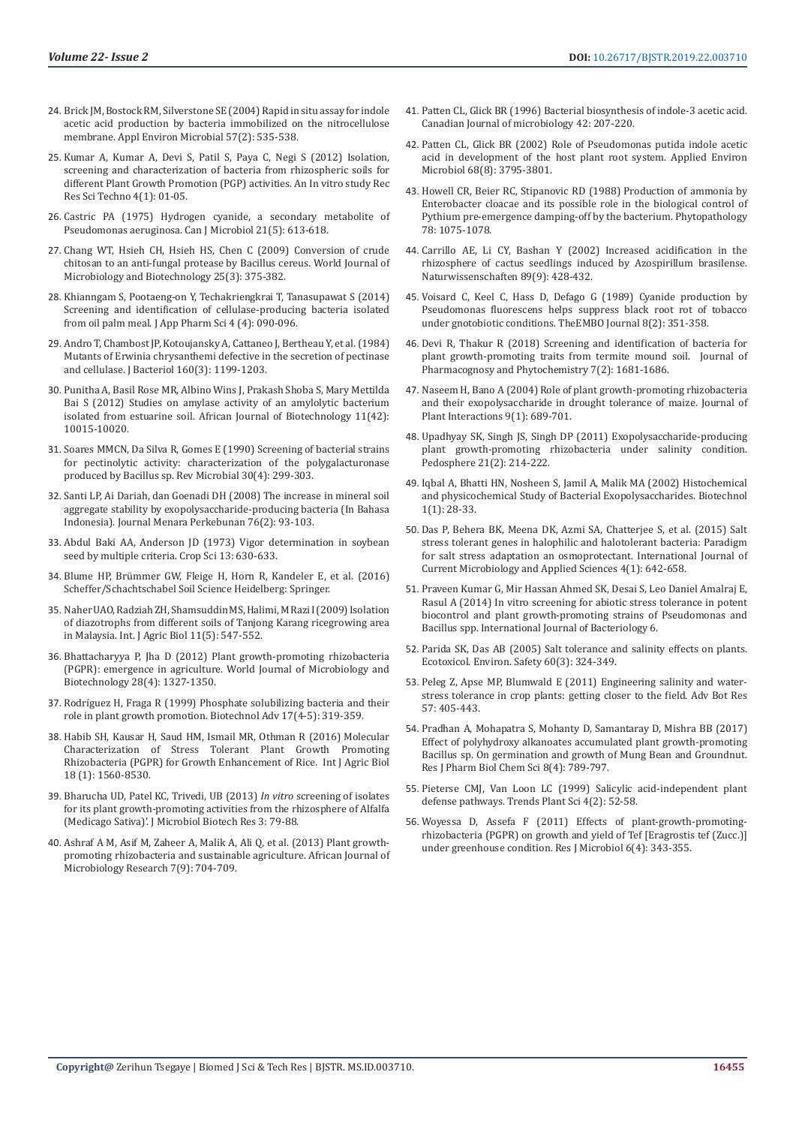- 24. [Brick JM, Bostock RM, Silverstone SE \(2004\) Rapid in situ assay for indole](https://www.ncbi.nlm.nih.gov/pubmed/16348419)  [acetic acid production by bacteria immobilized on the nitrocellulose](https://www.ncbi.nlm.nih.gov/pubmed/16348419)  [membrane. Appl Environ Microbial 57\(2\): 535-538.](https://www.ncbi.nlm.nih.gov/pubmed/16348419)
- 25. [Kumar A, Kumar A, Devi S, Patil S, Paya C, Negi S \(2012\) Isolation,](https://updatepublishing.com/journal/index.php/rrst/article/view/851)  [screening and characterization of bacteria from rhizospheric soils for](https://updatepublishing.com/journal/index.php/rrst/article/view/851)  [different Plant Growth Promotion \(PGP\) activities. An In vitro study Rec](https://updatepublishing.com/journal/index.php/rrst/article/view/851)  [Res Sci Techno 4\(1\): 01-05.](https://updatepublishing.com/journal/index.php/rrst/article/view/851)
- 26. [Castric PA \(1975\) Hydrogen cyanide, a secondary metabolite of](https://www.researchgate.net/publication/22970652_Hydrogen_cyanide_a_secondary_metabolite_of_Pseudomonas_aeruginosa)  [Pseudomonas aeruginosa. Can J Microbiol 21\(5\): 613-618.](https://www.researchgate.net/publication/22970652_Hydrogen_cyanide_a_secondary_metabolite_of_Pseudomonas_aeruginosa)
- 27. [Chang WT, Hsieh CH, Hsieh HS, Chen C \(2009\) Conversion of crude](https://link.springer.com/article/10.1007/s11274-008-9901-5)  [chitosan to an anti-fungal protease by Bacillus cereus. World Journal of](https://link.springer.com/article/10.1007/s11274-008-9901-5)  [Microbiology and Biotechnology 25\(3\): 375-382.](https://link.springer.com/article/10.1007/s11274-008-9901-5)
- 28. [Khianngam S, Pootaeng-on Y, Techakriengkrai T, Tanasupawat S \(2014\)](https://www.japsonline.com/admin/php/uploads/1233_pdf.pdf)  [Screening and identification of cellulase-producing bacteria isolated](https://www.japsonline.com/admin/php/uploads/1233_pdf.pdf)  [from oil palm meal. J App Pharm Sci 4 \(4\): 090-096.](https://www.japsonline.com/admin/php/uploads/1233_pdf.pdf)
- 29. [Andro T, Chambost JP, Kotoujansky A, Cattaneo J, Bertheau Y, et al. \(1984\)](https://www.ncbi.nlm.nih.gov/pmc/articles/PMC215846/)  [Mutants of Erwinia chrysanthemi defective in the secretion of pectinase](https://www.ncbi.nlm.nih.gov/pmc/articles/PMC215846/)  [and cellulase. J Bacteriol 160\(3\): 1199-1203.](https://www.ncbi.nlm.nih.gov/pmc/articles/PMC215846/)
- 30. [Punitha A, Basil Rose MR, Albino Wins J, Prakash Shoba S, Mary Mettilda](https://www.researchgate.net/publication/266173824_Studies_on_amylase_activity_of_an_amylolytic_bacterium_isolated_from_estuarine_soil)  [Bai S \(2012\) Studies on amylase activity of an amylolytic bacterium](https://www.researchgate.net/publication/266173824_Studies_on_amylase_activity_of_an_amylolytic_bacterium_isolated_from_estuarine_soil)  [isolated from estuarine soil. African Journal of Biotechnology 11\(42\):](https://www.researchgate.net/publication/266173824_Studies_on_amylase_activity_of_an_amylolytic_bacterium_isolated_from_estuarine_soil)  [10015-10020.](https://www.researchgate.net/publication/266173824_Studies_on_amylase_activity_of_an_amylolytic_bacterium_isolated_from_estuarine_soil)
- 31. [Soares MMCN, Da Silva R, Gomes E \(1990\) Screening of bacterial strains](http://www.scielo.br/scielo.php?script=sci_arttext&pid=S0001-37141999000400002)  [for pectinolytic activity: characterization of the polygalacturonase](http://www.scielo.br/scielo.php?script=sci_arttext&pid=S0001-37141999000400002)  [produced by Bacillus sp. Rev Microbial 30\(4\): 299-303.](http://www.scielo.br/scielo.php?script=sci_arttext&pid=S0001-37141999000400002)
- 32. Santi LP, Ai Dariah, dan Goenadi DH (2008) The increase in mineral soil aggregate stability by exopolysaccharide-producing bacteria (In Bahasa Indonesia). Journal Menara Perkebunan 76(2): 93-103.
- 33. [Abdul Baki AA, Anderson JD \(1973\) Vigor determination in soybean](https://dl.sciencesocieties.org/publications/cs/abstracts/13/6/CS0130060630?access=0&view=pdf)  [seed by multiple criteria. Crop Sci 13: 630-633.](https://dl.sciencesocieties.org/publications/cs/abstracts/13/6/CS0130060630?access=0&view=pdf)
- 34. [Blume HP, Brümmer GW, Fleige H, Horn R, Kandeler E, et al. \(2016\)](https://www.springer.com/gp/book/9783642309410)  [Scheffer/Schachtschabel Soil Science Heidelberg: Springer.](https://www.springer.com/gp/book/9783642309410)
- 35. [Naher UAO, Radziah ZH, Shamsuddin MS, Halimi, M Razi I \(2009\) Isolation](https://www.researchgate.net/publication/228505298_Isolation_of_Diazotrophs_from_Different_Soils_of_Tanjong_Karang_Rice_Growing_Area_in_Malaysia)  [of diazotrophs from different soils of Tanjong Karang ricegrowing area](https://www.researchgate.net/publication/228505298_Isolation_of_Diazotrophs_from_Different_Soils_of_Tanjong_Karang_Rice_Growing_Area_in_Malaysia)  [in Malaysia. Int. J Agric Biol 11\(5\): 547-552.](https://www.researchgate.net/publication/228505298_Isolation_of_Diazotrophs_from_Different_Soils_of_Tanjong_Karang_Rice_Growing_Area_in_Malaysia)
- 36. [Bhattacharyya P, Jha D \(2012\) Plant growth-promoting rhizobacteria](https://www.ncbi.nlm.nih.gov/pubmed/22805914)  [\(PGPR\): emergence in agriculture. World Journal of Microbiology and](https://www.ncbi.nlm.nih.gov/pubmed/22805914)  [Biotechnology 28\(4\): 1327-1350.](https://www.ncbi.nlm.nih.gov/pubmed/22805914)
- 37. [Rodríguez H, Fraga R \(1999\) Phosphate solubilizing bacteria and their](https://www.ncbi.nlm.nih.gov/pubmed/14538133)  [role in plant growth promotion. Biotechnol Adv 17\(4-5\): 319-359.](https://www.ncbi.nlm.nih.gov/pubmed/14538133)
- 38. [Habib SH, Kausar H, Saud HM, Ismail MR, Othman R \(2016\) Molecular](https://www.researchgate.net/publication/282588216_Molecular_Characterization_of_Stress_Tolerant_Plant_Growth_Promoting_Rhizobacteria_PGPR_for_Growth_Enhancement_of_Rice)  [Characterization of Stress Tolerant Plant Growth Promoting](https://www.researchgate.net/publication/282588216_Molecular_Characterization_of_Stress_Tolerant_Plant_Growth_Promoting_Rhizobacteria_PGPR_for_Growth_Enhancement_of_Rice)  [Rhizobacteria \(PGPR\) for Growth Enhancement of Rice. Int J Agric Biol](https://www.researchgate.net/publication/282588216_Molecular_Characterization_of_Stress_Tolerant_Plant_Growth_Promoting_Rhizobacteria_PGPR_for_Growth_Enhancement_of_Rice)  [18 \(1\): 1560-8530.](https://www.researchgate.net/publication/282588216_Molecular_Characterization_of_Stress_Tolerant_Plant_Growth_Promoting_Rhizobacteria_PGPR_for_Growth_Enhancement_of_Rice)
- 39. [Bharucha UD, Patel KC, Trivedi, UB \(2013\)](https://www.researchgate.net/publication/259347143_In_vitro_screening_of_isolates_for_its_plant_growth_promoting_activities_from_the_rhizosphere_of_Alfalfa_Medicago_Sativa) *In vitro* screening of isolates [for its plant growth-promoting activities from the rhizosphere of Alfalfa](https://www.researchgate.net/publication/259347143_In_vitro_screening_of_isolates_for_its_plant_growth_promoting_activities_from_the_rhizosphere_of_Alfalfa_Medicago_Sativa)  [\(Medicago Sativa\)'. J Microbiol Biotech Res 3: 79-88.](https://www.researchgate.net/publication/259347143_In_vitro_screening_of_isolates_for_its_plant_growth_promoting_activities_from_the_rhizosphere_of_Alfalfa_Medicago_Sativa)
- 40. [Ashraf A M, Asif M, Zaheer A, Malik A, Ali Q, et al. \(2013\) Plant growth](https://www.researchgate.net/publication/260693189_Plant_growth_promoting_rhizobacteria_and_sustainable_agriculture_a_review)[promoting rhizobacteria and sustainable agriculture. African Journal of](https://www.researchgate.net/publication/260693189_Plant_growth_promoting_rhizobacteria_and_sustainable_agriculture_a_review)  [Microbiology Research 7\(9\): 704-709.](https://www.researchgate.net/publication/260693189_Plant_growth_promoting_rhizobacteria_and_sustainable_agriculture_a_review)
- 41. Patten CL, Glick BR (1996) Bacterial biosynthesis of indole-3 acetic acid. Canadian Journal of microbiology 42: 207-220.
- 42. [Patten CL, Glick BR \(2002\) Role of Pseudomonas putida indole acetic](https://www.ncbi.nlm.nih.gov/pubmed/12147474) [acid in development of the host plant root system. Applied Environ](https://www.ncbi.nlm.nih.gov/pubmed/12147474) [Microbiol 68\(8\): 3795-3801.](https://www.ncbi.nlm.nih.gov/pubmed/12147474)
- 43. [Howell CR, Beier RC, Stipanovic RD \(1988\) Production of ammonia by](https://www.apsnet.org/publications/phytopathology/backissues/Documents/1988Abstracts/Phyto78_1075.htm) [Enterobacter cloacae and its possible role in the biological control of](https://www.apsnet.org/publications/phytopathology/backissues/Documents/1988Abstracts/Phyto78_1075.htm) [Pythium pre-emergence damping-off by the bacterium. Phytopathology](https://www.apsnet.org/publications/phytopathology/backissues/Documents/1988Abstracts/Phyto78_1075.htm) [78: 1075-1078.](https://www.apsnet.org/publications/phytopathology/backissues/Documents/1988Abstracts/Phyto78_1075.htm)
- 44. [Carrillo AE, Li CY, Bashan Y \(2002\) Increased acidification in the](https://www.ncbi.nlm.nih.gov/pubmed/12435098) [rhizosphere of cactus seedlings induced by Azospirillum brasilense.](https://www.ncbi.nlm.nih.gov/pubmed/12435098) [Naturwissenschaften 89\(9\): 428-432.](https://www.ncbi.nlm.nih.gov/pubmed/12435098)
- 45. [Voisard C, Keel C, Hass D, Defago G \(1989\) Cyanide production by](https://www.ncbi.nlm.nih.gov/pmc/articles/PMC400813/) [Pseudomonas fluorescens helps suppress black root rot of tobacco](https://www.ncbi.nlm.nih.gov/pmc/articles/PMC400813/) [under gnotobiotic conditions. TheEMBO Journal 8\(2\): 351-358.](https://www.ncbi.nlm.nih.gov/pmc/articles/PMC400813/)
- 46. [Devi R, Thakur R \(2018\) Screening and identification of bacteria for](http://www.phytojournal.com/archives/?year=2018&vol=7&issue=2&part=X&ArticleId=3660) [plant growth-promoting traits from termite mound soil. Journal of](http://www.phytojournal.com/archives/?year=2018&vol=7&issue=2&part=X&ArticleId=3660) [Pharmacognosy and Phytochemistry 7\(2\): 1681-1686.](http://www.phytojournal.com/archives/?year=2018&vol=7&issue=2&part=X&ArticleId=3660)
- 47. [Naseem H, Bano A \(2004\) Role of plant growth-promoting rhizobacteria](https://www.tandfonline.com/doi/full/10.1080/17429145.2014.902125) [and their exopolysaccharide in drought tolerance of maize. Journal of](https://www.tandfonline.com/doi/full/10.1080/17429145.2014.902125) [Plant Interactions 9\(1\): 689-701.](https://www.tandfonline.com/doi/full/10.1080/17429145.2014.902125)
- 48. [Upadhyay SK, Singh JS, Singh DP \(2011\) Exopolysaccharide-producing](https://www.sciencedirect.com/science/article/abs/pii/S1002016011601203) [plant growth-promoting rhizobacteria under salinity condition.](https://www.sciencedirect.com/science/article/abs/pii/S1002016011601203) [Pedosphere 21\(2\): 214-222.](https://www.sciencedirect.com/science/article/abs/pii/S1002016011601203)
- 49. [Iqbal A, Bhatti HN, Nosheen S, Jamil A, Malik MA \(2002\) Histochemical](https://scialert.net/abstract/?doi=biotech.2002.28.33) [and physicochemical Study of Bacterial Exopolysaccharides. Biotechnol](https://scialert.net/abstract/?doi=biotech.2002.28.33) [1\(1\): 28-33.](https://scialert.net/abstract/?doi=biotech.2002.28.33)
- 50. [Das P, Behera BK, Meena DK, Azmi SA, Chatterjee S, et al. \(2015\) Salt](https://www.ijcmas.com/vol-4-1/Priyanka%20Das,%20et%20al.pdf) [stress tolerant genes in halophilic and halotolerant bacteria: Paradigm](https://www.ijcmas.com/vol-4-1/Priyanka%20Das,%20et%20al.pdf) [for salt stress adaptation an osmoprotectant. International Journal of](https://www.ijcmas.com/vol-4-1/Priyanka%20Das,%20et%20al.pdf) [Current Microbiology and Applied Sciences 4\(1\): 642-658.](https://www.ijcmas.com/vol-4-1/Priyanka%20Das,%20et%20al.pdf)
- 51. [Praveen Kumar G, Mir Hassan Ahmed SK, Desai S, Leo Daniel Amalraj E,](https://www.hindawi.com/journals/ijb/2014/195946/) [Rasul A \(2014\) In vitro screening for abiotic stress tolerance in potent](https://www.hindawi.com/journals/ijb/2014/195946/) [biocontrol and plant growth-promoting strains of Pseudomonas and](https://www.hindawi.com/journals/ijb/2014/195946/) [Bacillus spp. International Journal of Bacteriology 6.](https://www.hindawi.com/journals/ijb/2014/195946/)
- 52. [Parida SK, Das AB \(2005\) Salt tolerance and salinity effects on plants.](https://www.sciencedirect.com/science/article/pii/S0147651304000922) [Ecotoxicol. Environ. Safety 60\(3\): 324-349.](https://www.sciencedirect.com/science/article/pii/S0147651304000922)
- 53. [Peleg Z, Apse MP, Blumwald E \(2011\) Engineering salinity and water](http://www.bashanfoundation.org/contributions/Blumwald-E/blumwaldsalinity.pdf)[stress tolerance in crop plants: getting closer to the field. Adv Bot Res](http://www.bashanfoundation.org/contributions/Blumwald-E/blumwaldsalinity.pdf) [57: 405-443.](http://www.bashanfoundation.org/contributions/Blumwald-E/blumwaldsalinity.pdf)
- 54. [Pradhan A, Mohapatra S, Mohanty D, Samantaray D, Mishra BB \(2017\)](https://www.researchgate.net/publication/319531919_Effect_of_polyhydroxyalkanoates_accumulated_plant_growth_promoting_Bacillus_sp_on_germination_and_growth_of_Mung_Bean_Groundnut) [Effect of polyhydroxy alkanoates accumulated plant growth-promoting](https://www.researchgate.net/publication/319531919_Effect_of_polyhydroxyalkanoates_accumulated_plant_growth_promoting_Bacillus_sp_on_germination_and_growth_of_Mung_Bean_Groundnut) [Bacillus sp. On germination and growth of Mung Bean and Groundnut.](https://www.researchgate.net/publication/319531919_Effect_of_polyhydroxyalkanoates_accumulated_plant_growth_promoting_Bacillus_sp_on_germination_and_growth_of_Mung_Bean_Groundnut) [Res J Pharm Biol Chem Sci 8\(4\): 789-797.](https://www.researchgate.net/publication/319531919_Effect_of_polyhydroxyalkanoates_accumulated_plant_growth_promoting_Bacillus_sp_on_germination_and_growth_of_Mung_Bean_Groundnut)
- 55. [Pieterse CMJ, Van Loon LC \(1999\) Salicylic acid-independent plant](https://www.ncbi.nlm.nih.gov/pubmed/10234273) [defense pathways. Trends Plant Sci 4\(2\): 52-58.](https://www.ncbi.nlm.nih.gov/pubmed/10234273)
- 56. [Woyessa D, Assefa F \(2011\) Effects of plant-growth-promoting](https://scialert.net/fulltextmobile/?doi=jm.2011.343.355)[rhizobacteria \(PGPR\) on growth and yield of Tef \[Eragrostis tef \(Zucc.\)\]](https://scialert.net/fulltextmobile/?doi=jm.2011.343.355) [under greenhouse condition. Res J Microbiol 6\(4\): 343-355.](https://scialert.net/fulltextmobile/?doi=jm.2011.343.355)